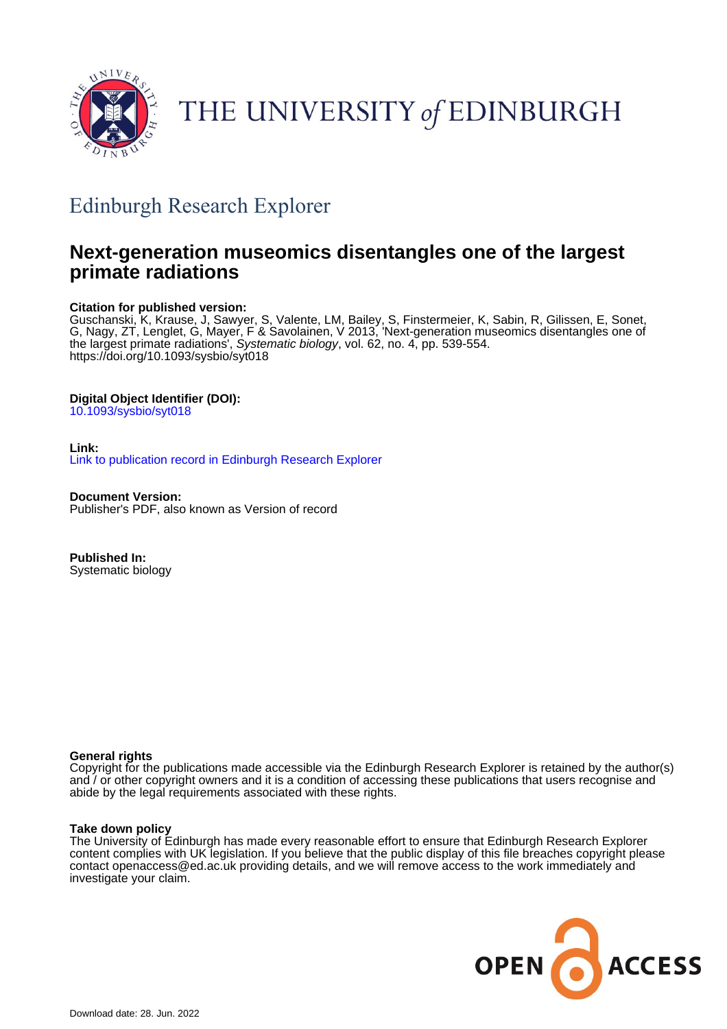

# THE UNIVERSITY of EDINBURGH

## Edinburgh Research Explorer

## **Next-generation museomics disentangles one of the largest primate radiations**

## **Citation for published version:**

Guschanski, K, Krause, J, Sawyer, S, Valente, LM, Bailey, S, Finstermeier, K, Sabin, R, Gilissen, E, Sonet, G, Nagy, ZT, Lenglet, G, Mayer, F & Savolainen, V 2013, 'Next-generation museomics disentangles one of the largest primate radiations', Systematic biology, vol. 62, no. 4, pp. 539-554. <https://doi.org/10.1093/sysbio/syt018>

## **Digital Object Identifier (DOI):**

[10.1093/sysbio/syt018](https://doi.org/10.1093/sysbio/syt018)

## **Link:**

[Link to publication record in Edinburgh Research Explorer](https://www.research.ed.ac.uk/en/publications/d26f8f34-748c-49a3-bcc2-0d2a89e256f2)

**Document Version:** Publisher's PDF, also known as Version of record

**Published In:** Systematic biology

## **General rights**

Copyright for the publications made accessible via the Edinburgh Research Explorer is retained by the author(s) and / or other copyright owners and it is a condition of accessing these publications that users recognise and abide by the legal requirements associated with these rights.

## **Take down policy**

The University of Edinburgh has made every reasonable effort to ensure that Edinburgh Research Explorer content complies with UK legislation. If you believe that the public display of this file breaches copyright please contact openaccess@ed.ac.uk providing details, and we will remove access to the work immediately and investigate your claim.

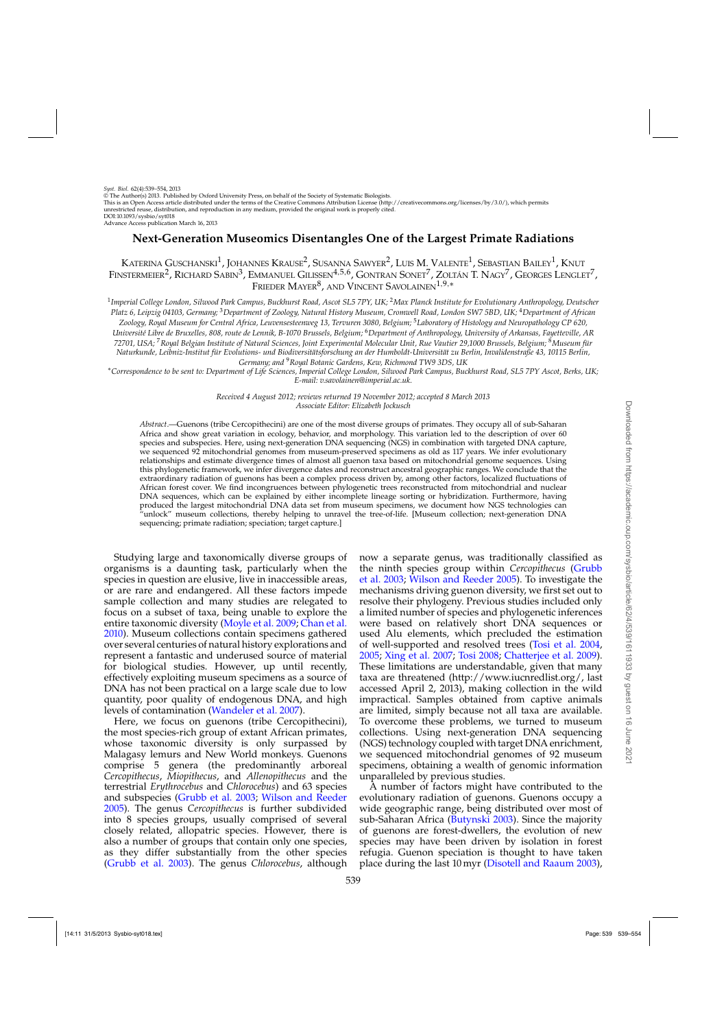*Syst. Biol.* 62(4):539–554, 2013 © The Author(s) 2013. Published by Oxford University Press, on behalf of the Society of Systematic Biologists. This is an Open Access article distributed under the terms of the Creative Commons Attribution License (http://creativecommons.org/licenses/by/3.0/), which permits unrestricted reuse, distribution, and reproduction in any medium, provided the original work is properly cited. DOI:10.1093/sysbio/syt018 Advance Access publication March 16, 2013

## **Next-Generation Museomics Disentangles One of the Largest Primate Radiations**

KATERINA GUSCHANSKI<sup>1</sup>, JOHANNES KRAUSE<sup>2</sup>, SUSANNA SAWYER<sup>2</sup>, LUIS M. VALENTE<sup>1</sup>, SEBASTIAN BAILEY<sup>1</sup>, KNUT FINSTERMEIER<sup>2</sup>, RICHARD SABIN<sup>3</sup>, EMMANUEL GILISSEN<sup>4,5,6</sup>, GONTRAN SONET<sup>7</sup>, ZOLTÁN T. NAGY<sup>7</sup>, GEORGES LENGLET<sup>7</sup>, FRIEDER MAYER<sup>8</sup>, AND VINCENT SAVOLAINEN<sup>1,9,\*</sup>

<sup>1</sup>*Imperial College London, Silwood Park Campus, Buckhurst Road, Ascot SL5 7PY, UK;* <sup>2</sup>*Max Planck Institute for Evolutionary Anthropology, Deutscher Platz 6, Leipzig 04103, Germany;* <sup>3</sup>*Department of Zoology, Natural History Museum, Cromwell Road, London SW7 5BD, UK;* <sup>4</sup>*Department of African Zoology, Royal Museum for Central Africa, Leuvensesteenweg 13, Tervuren 3080, Belgium;* <sup>5</sup>*Laboratory of Histology and Neuropathology CP 620, Université Libre de Bruxelles, 808, route de Lennik, B-1070 Brussels, Belgium;* <sup>6</sup>*Department of Anthropology, University of Arkansas, Fayetteville, AR 72701, USA;* <sup>7</sup>*Royal Belgian Institute of Natural Sciences, Joint Experimental Molecular Unit, Rue Vautier 29,1000 Brussels, Belgium;* <sup>8</sup>*Museum für Naturkunde, Leibniz-Institut für Evolutions- und Biodiversitätsforschung an der Humboldt-Universität zu Berlin, Invalidenstraße 43, 10115 Berlin, Germany; and* <sup>9</sup>*Royal Botanic Gardens, Kew, Richmond TW9 3DS, UK*

∗*Correspondence to be sent to: Department of Life Sciences, Imperial College London, Silwood Park Campus, Buckhurst Road, SL5 7PY Ascot, Berks, UK; E-mail: v.savolainen@imperial.ac.uk.*

> *Received 4 August 2012; reviews returned 19 November 2012; accepted 8 March 2013 Associate Editor: Elizabeth Jockusch*

*Abstract*.—Guenons (tribe Cercopithecini) are one of the most diverse groups of primates. They occupy all of sub-Saharan Africa and show great variation in ecology, behavior, and morphology. This variation led to the description of over 60 species and subspecies. Here, using next-generation DNA sequencing (NGS) in combination with targeted DNA capture, we sequenced 92 mitochondrial genomes from museum-preserved specimens as old as 117 years. We infer evolutionary relationships and estimate divergence times of almost all guenon taxa based on mitochondrial genome sequences. Using this phylogenetic framework, we infer divergence dates and reconstruct ancestral geographic ranges. We conclude that the extraordinary radiation of guenons has been a complex process driven by, among other factors, localized fluctuations of African forest cover. We find incongruences between phylogenetic trees reconstructed from mitochondrial and nuclear DNA sequences, which can be explained by either incomplete lineage sorting or hybridization. Furthermore, having produced the largest mitochondrial DNA data set from museum specimens, we document how NGS technologies can "unlock" museum collections, thereby helping to unravel the tree-of-life. [Museum collection; next-generation DNA sequencing; primate radiation; speciation; target capture.]

Studying large and taxonomically diverse groups of organisms is a daunting task, particularly when the species in question are elusive, live in inaccessible areas, or are rare and endangered. All these factors impede sample collection and many studies are relegated to focus on a subset of taxa, being unable to explore the entire taxonomic diversity [\(Moyle et al. 2009](#page-15-0); [Chan et al.](#page-14-0) [2010\)](#page-14-0). Museum collections contain specimens gathered over several centuries of natural history explorations and represent a fantastic and underused source of material for biological studies. However, up until recently, effectively exploiting museum specimens as a source of DNA has not been practical on a large scale due to low quantity, poor quality of endogenous DNA, and high levels of contamination [\(Wandeler et al. 2007\)](#page-16-0).

Here, we focus on guenons (tribe Cercopithecini), the most species-rich group of extant African primates, whose taxonomic diversity is only surpassed by Malagasy lemurs and New World monkeys. Guenons comprise 5 genera (the predominantly arboreal *Cercopithecus*, *Miopithecus*, and *Allenopithecus* and the terrestrial *Erythrocebus* and *Chlorocebus*) and 63 species and subspecies [\(Grubb et al. 2003;](#page-14-0) [Wilson and Reeder](#page-16-0) [2005\)](#page-16-0). The genus *Cercopithecus* is further subdivided into 8 species groups, usually comprised of several closely related, allopatric species. However, there is also a number of groups that contain only one species, as they differ substantially from the other species [\(Grubb et al. 2003](#page-14-0)). The genus *Chlorocebus*, although now a separate genus, was traditionally classified as the [ninth species group within](#page-14-0) *Cercopithecus* (Grubb et al. [2003](#page-14-0); [Wilson and Reeder 2005\)](#page-16-0). To investigate the mechanisms driving guenon diversity, we first set out to resolve their phylogeny. Previous studies included only a limited number of species and phylogenetic inferences were based on relatively short DNA sequences or used Alu elements, which precluded the estimation of well-supported and resolved trees [\(Tosi et al. 2004](#page-15-0), [2005;](#page-15-0) [Xing et al. 2007;](#page-16-0) [Tosi 2008;](#page-15-0) [Chatterjee et al. 2009](#page-14-0)). These limitations are understandable, given that many taxa are threatened (http://www.iucnredlist.org/, last accessed April 2, 2013), making collection in the wild impractical. Samples obtained from captive animals are limited, simply because not all taxa are available. To overcome these problems, we turned to museum collections. Using next-generation DNA sequencing (NGS) technology coupled with target DNA enrichment, we sequenced mitochondrial genomes of 92 museum specimens, obtaining a wealth of genomic information unparalleled by previous studies.

A number of factors might have contributed to the evolutionary radiation of guenons. Guenons occupy a wide geographic range, being distributed over most of sub-Saharan Africa [\(Butynski 2003](#page-14-0)). Since the majority of guenons are forest-dwellers, the evolution of new species may have been driven by isolation in forest refugia. Guenon speciation is thought to have taken place during the last 10 myr [\(Disotell and Raaum 2003](#page-14-0)),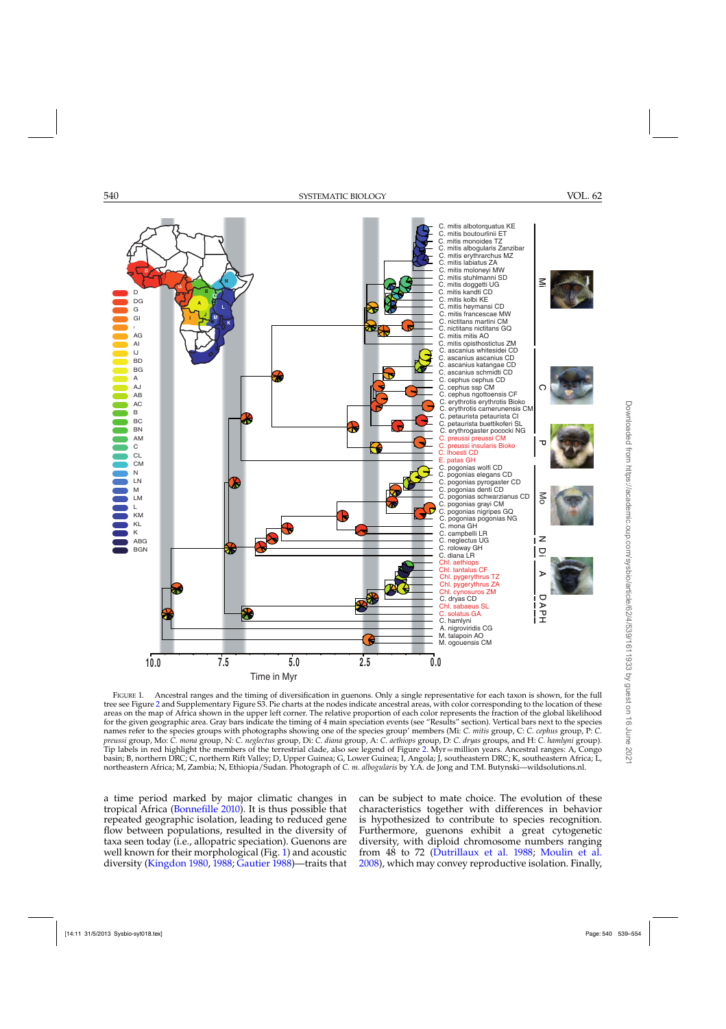<span id="page-2-0"></span>

FIGURE 1. Ancestral ranges and the timing of diversification in guenons. Only a single representative for each taxon is shown, for the full tree see Figure [2](#page-8-0) and Supplementary Figure S3. Pie charts at the nodes indicate ancestral areas, with color corresponding to the location of these areas on the map of Africa shown in the upper left corner. The relative proportion of each color represents the fraction of the global likelihood for the given geographic area. Gray bars indicate the timing of 4 main speciation events (see "Results" section). Vertical bars next to the species names refer to the species groups with photographs showing one of the species group' members (Mi: *C. mitis* group, C: *C. cephus* group, P: *C. preussi* group, Mo: *C. mona* group, N: *C. neglectus* group, Di: *C. diana* group, A: *C. aethiops* group, D: *C. dryas* groups, and H: *C. hamlyni* group). Tip labels in red highlight the members of the terrestrial clade, also see legend of Figure [2.](#page-8-0) Myr=million years. Ancestral ranges: A, Congo basin; B, northern DRC; C, northern Rift Valley; D, Upper Guinea; G, Lower Guinea; I, Angola; J, southeastern DRC; K, southeastern Africa; L, northeastern Africa; M, Zambia; N, Ethiopia/Sudan. Photograph of *C. m. albogularis* by Y.A. de Jong and T.M. Butynski—wildsolutions.nl.

a time period marked by major climatic changes in tropical Africa [\(Bonnefille 2010](#page-13-0)). It is thus possible that repeated geographic isolation, leading to reduced gene flow between populations, resulted in the diversity of taxa seen today (i.e., allopatric speciation). Guenons are well known for their morphological (Fig. 1) and acoustic diversity [\(Kingdon 1980](#page-15-0), [1988](#page-14-0); [Gautier 1988\)](#page-14-0)—traits that

can be subject to mate choice. The evolution of these characteristics together with differences in behavior is hypothesized to contribute to species recognition. Furthermore, guenons exhibit a great cytogenetic diversity, with diploid chromosome numbers ranging from 48 to 72 [\(Dutrillaux et al. 1988](#page-14-0); [Moulin et al.](#page-15-0) [2008\)](#page-15-0), which may convey reproductive isolation. Finally,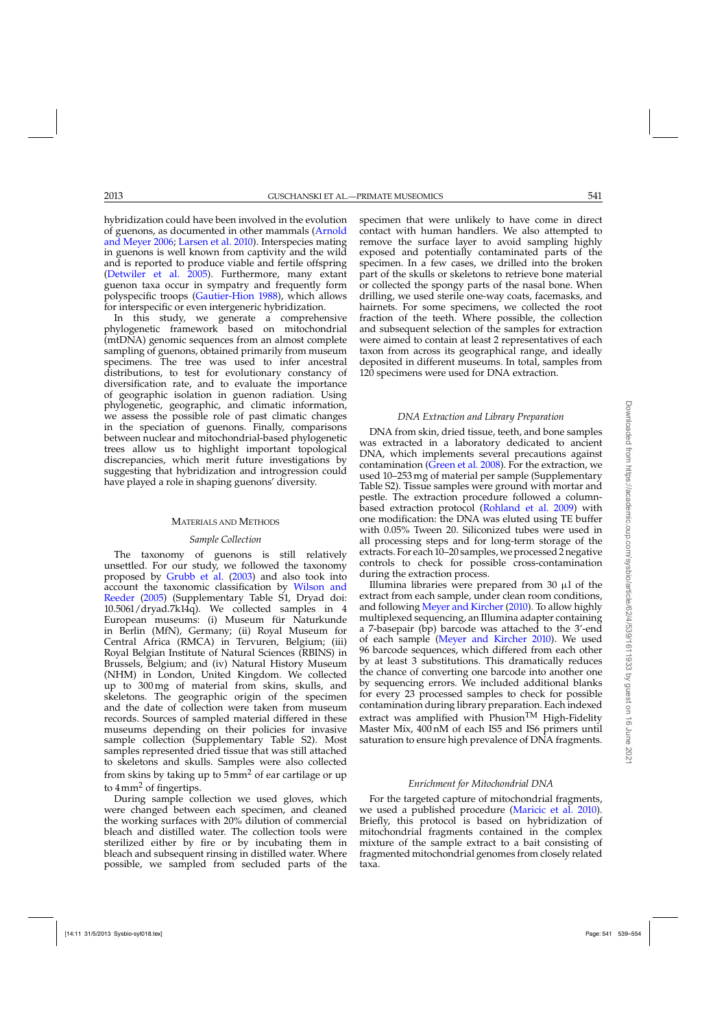hybridization could have been involved in the evolution of guenon[s, as documented in other mammals \(](#page-13-0)Arnold and Meyer [2006;](#page-13-0) [Larsen et al. 2010](#page-15-0)). Interspecies mating in guenons is well known from captivity and the wild and is reported to produce viable and fertile offspring [\(Detwiler et al. 2005](#page-14-0)). Furthermore, many extant guenon taxa occur in sympatry and frequently form polyspecific troops [\(Gautier-Hion 1988](#page-14-0)), which allows for interspecific or even intergeneric hybridization.

In this study, we generate a comprehensive phylogenetic framework based on mitochondrial (mtDNA) genomic sequences from an almost complete sampling of guenons, obtained primarily from museum specimens. The tree was used to infer ancestral distributions, to test for evolutionary constancy of diversification rate, and to evaluate the importance of geographic isolation in guenon radiation. Using phylogenetic, geographic, and climatic information, we assess the possible role of past climatic changes in the speciation of guenons. Finally, comparisons between nuclear and mitochondrial-based phylogenetic trees allow us to highlight important topological discrepancies, which merit future investigations by suggesting that hybridization and introgression could have played a role in shaping guenons' diversity.

### MATERIALS AND METHODS

#### *Sample Collection*

The taxonomy of guenons is still relatively unsettled. For our study, we followed the taxonomy proposed by [Grubb et al.](#page-14-0) [\(2003](#page-14-0)) and also took into accoun[t the taxonomic classification by](#page-16-0) Wilson and Reeder [\(2005\)](#page-16-0) (Supplementary Table S1, Dryad doi: 10.5061/dryad.7k14q). We collected samples in 4 European museums: (i) Museum für Naturkunde in Berlin (MfN), Germany; (ii) Royal Museum for Central Africa (RMCA) in Tervuren, Belgium; (iii) Royal Belgian Institute of Natural Sciences (RBINS) in Brussels, Belgium; and (iv) Natural History Museum (NHM) in London, United Kingdom. We collected up to 300 mg of material from skins, skulls, and skeletons. The geographic origin of the specimen and the date of collection were taken from museum records. Sources of sampled material differed in these museums depending on their policies for invasive sample collection (Supplementary Table S2). Most samples represented dried tissue that was still attached to skeletons and skulls. Samples were also collected from skins by taking up to  $5 \text{mm}^2$  of ear cartilage or up to  $4 \text{mm}^2$  of fingertips.

During sample collection we used gloves, which were changed between each specimen, and cleaned the working surfaces with 20% dilution of commercial bleach and distilled water. The collection tools were sterilized either by fire or by incubating them in bleach and subsequent rinsing in distilled water. Where possible, we sampled from secluded parts of the

specimen that were unlikely to have come in direct contact with human handlers. We also attempted to remove the surface layer to avoid sampling highly exposed and potentially contaminated parts of the specimen. In a few cases, we drilled into the broken part of the skulls or skeletons to retrieve bone material or collected the spongy parts of the nasal bone. When drilling, we used sterile one-way coats, facemasks, and hairnets. For some specimens, we collected the root fraction of the teeth. Where possible, the collection and subsequent selection of the samples for extraction were aimed to contain at least 2 representatives of each taxon from across its geographical range, and ideally deposited in different museums. In total, samples from 120 specimens were used for DNA extraction.

#### *DNA Extraction and Library Preparation*

DNA from skin, dried tissue, teeth, and bone samples was extracted in a laboratory dedicated to ancient DNA, which implements several precautions against contamination [\(Green et al. 2008](#page-14-0)). For the extraction, we used 10–253 mg of material per sample (Supplementary Table S2). Tissue samples were ground with mortar and pestle. The extraction procedure followed a columnbased extraction protocol [\(Rohland et al. 2009](#page-15-0)) with one modification: the DNA was eluted using TE buffer with 0.05% Tween 20. Siliconized tubes were used in all processing steps and for long-term storage of the extracts. For each 10–20 samples, we processed 2 negative controls to check for possible cross-contamination during the extraction process.

Illumina libraries were prepared from 30  $\mu$ l of the extract from each sample, under clean room conditions, and following [Meyer and Kircher](#page-15-0) [\(2010](#page-15-0)). To allow highly multiplexed sequencing, an Illumina adapter containing a 7-basepair (bp) barcode was attached to the 3'-end of each sample [\(Meyer and Kircher 2010](#page-15-0)). We used 96 barcode sequences, which differed from each other by at least 3 substitutions. This dramatically reduces the chance of converting one barcode into another one by sequencing errors. We included additional blanks for every 23 processed samples to check for possible contamination during library preparation. Each indexed extract was amplified with Phusion<sup>TM</sup> High-Fidelity Master Mix, 400 nM of each IS5 and IS6 primers until saturation to ensure high prevalence of DNA fragments.

#### *Enrichment for Mitochondrial DNA*

For the targeted capture of mitochondrial fragments, we used a published procedure [\(Maricic et al. 2010](#page-15-0)). Briefly, this protocol is based on hybridization of mitochondrial fragments contained in the complex mixture of the sample extract to a bait consisting of fragmented mitochondrial genomes from closely related taxa.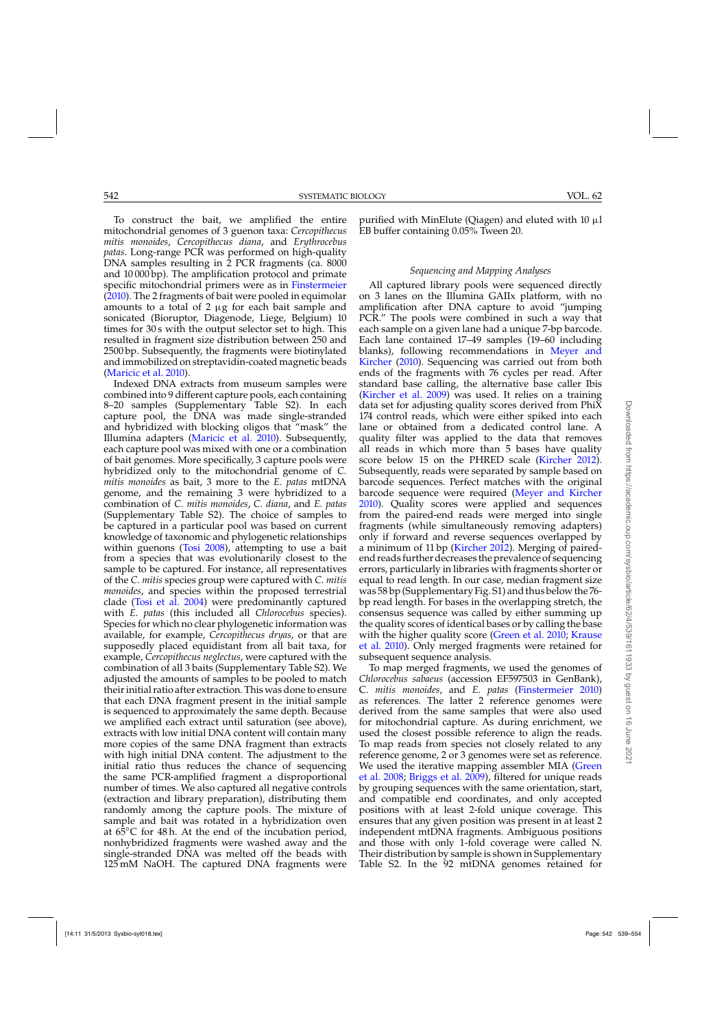To construct the bait, we amplified the entire mitochondrial genomes of 3 guenon taxa: *Cercopithecus mitis monoides*, *Cercopithecus diana*, and *Erythrocebus patas*. Long-range PCR was performed on high-quality DNA samples resulting in 2 PCR fragments (ca. 8000 and 10 000 bp). The amplification protocol and primate specific mitochondrial primers were as in [Finstermeier](#page-14-0)  $(2010)$ . The 2 fragments of bait were pooled in equimolar amounts to a total of 2  $\mu{\rm g}$  for each bait sample and sonicated (Bioruptor, Diagenode, Liege, Belgium) 10 times for 30 s with the output selector set to high. This resulted in fragment size distribution between 250 and 2500 bp. Subsequently, the fragments were biotinylated and immobilized on streptavidin-coated magnetic beads [\(Maricic et al. 2010\)](#page-15-0).

Indexed DNA extracts from museum samples were combined into 9 different capture pools, each containing 8–20 samples (Supplementary Table S2). In each capture pool, the DNA was made single-stranded and hybridized with blocking oligos that "mask" the Illumina adapters [\(Maricic et al. 2010](#page-15-0)). Subsequently, each capture pool was mixed with one or a combination of bait genomes. More specifically, 3 capture pools were hybridized only to the mitochondrial genome of *C. mitis monoides* as bait, 3 more to the *E. patas* mtDNA genome, and the remaining 3 were hybridized to a combination of *C. mitis monoides*, *C. diana*, and *E. patas* (Supplementary Table S2). The choice of samples to be captured in a particular pool was based on current knowledge of taxonomic and phylogenetic relationships within guenons [\(Tosi 2008\)](#page-15-0), attempting to use a bait from a species that was evolutionarily closest to the sample to be captured. For instance, all representatives of the *C. mitis* species group were captured with *C. mitis monoides*, and species within the proposed terrestrial clade [\(Tosi et al. 2004\)](#page-15-0) were predominantly captured with *E. patas* (this included all *Chlorocebus* species). Species for which no clear phylogenetic information was available, for example, *Cercopithecus dryas*, or that are supposedly placed equidistant from all bait taxa, for example, *Cercopithecus neglectus*, were captured with the combination of all 3 baits (Supplementary Table S2). We adjusted the amounts of samples to be pooled to match their initial ratio after extraction. This was done to ensure that each DNA fragment present in the initial sample is sequenced to approximately the same depth. Because we amplified each extract until saturation (see above), extracts with low initial DNA content will contain many more copies of the same DNA fragment than extracts with high initial DNA content. The adjustment to the initial ratio thus reduces the chance of sequencing the same PCR-amplified fragment a disproportional number of times. We also captured all negative controls (extraction and library preparation), distributing them randomly among the capture pools. The mixture of sample and bait was rotated in a hybridization oven at  $6\overline{5}$ °C for 48 h. At the end of the incubation period, nonhybridized fragments were washed away and the single-stranded DNA was melted off the beads with 125 mM NaOH. The captured DNA fragments were

purified with MinElute (Qiagen) and eluted with 10  $\mu$ l EB buffer containing 0.05% Tween 20.

## *Sequencing and Mapping Analyses*

All captured library pools were sequenced directly on 3 lanes on the Illumina GAIIx platform, with no amplification after DNA capture to avoid "jumping PCR." The pools were combined in such a way that each sample on a given lane had a unique 7-bp barcode. Each lane contained 17–49 samples (19–60 including blanks)[, following recommendations in](#page-15-0) Meyer and Kircher [\(2010\)](#page-15-0). Sequencing was carried out from both ends of the fragments with 76 cycles per read. After standard base calling, the alternative base caller Ibis [\(Kircher et al. 2009](#page-15-0)) was used. It relies on a training data set for adjusting quality scores derived from PhiX 174 control reads, which were either spiked into each lane or obtained from a dedicated control lane. A quality filter was applied to the data that removes all reads in which more than 5 bases have quality score below 15 on the PHRED scale [\(Kircher 2012\)](#page-15-0). Subsequently, reads were separated by sample based on barcode sequences. Perfect matches with the original barcode sequence were required [\(Meyer and Kircher](#page-15-0) [2010\)](#page-15-0). Quality scores were applied and sequences from the paired-end reads were merged into single fragments (while simultaneously removing adapters) only if forward and reverse sequences overlapped by a minimum of 11 bp [\(Kircher 2012](#page-15-0)). Merging of pairedend reads further decreases the prevalence of sequencing errors, particularly in libraries with fragments shorter or equal to read length. In our case, median fragment size was 58 bp (Supplementary Fig. S1) and thus below the 76 bp read length. For bases in the overlapping stretch, the consensus sequence was called by either summing up the quality scores of identical bases or by calling the base with [the](#page-15-0) [higher](#page-15-0) [quality](#page-15-0) [score](#page-15-0) [\(Green et al. 2010](#page-14-0)[;](#page-15-0) Krause et al. [2010\)](#page-15-0). Only merged fragments were retained for subsequent sequence analysis.

To map merged fragments, we used the genomes of *Chlorocebus sabaeus* (accession EF597503 in GenBank), C. *mitis monoides*, and *E. patas* [\(Finstermeier 2010](#page-14-0)) as references. The latter 2 reference genomes were derived from the same samples that were also used for mitochondrial capture. As during enrichment, we used the closest possible reference to align the reads. To map reads from species not closely related to any reference genome, 2 or 3 genomes were set as reference. We [used the iterative mapping assembler MIA \(](#page-14-0)Green et al. [2008](#page-14-0); [Briggs et al. 2009](#page-14-0)), filtered for unique reads by grouping sequences with the same orientation, start, and compatible end coordinates, and only accepted positions with at least 2-fold unique coverage. This ensures that any given position was present in at least 2 independent mtDNA fragments. Ambiguous positions and those with only 1-fold coverage were called N. Their distribution by sample is shown in Supplementary Table S2. In the 92 mtDNA genomes retained for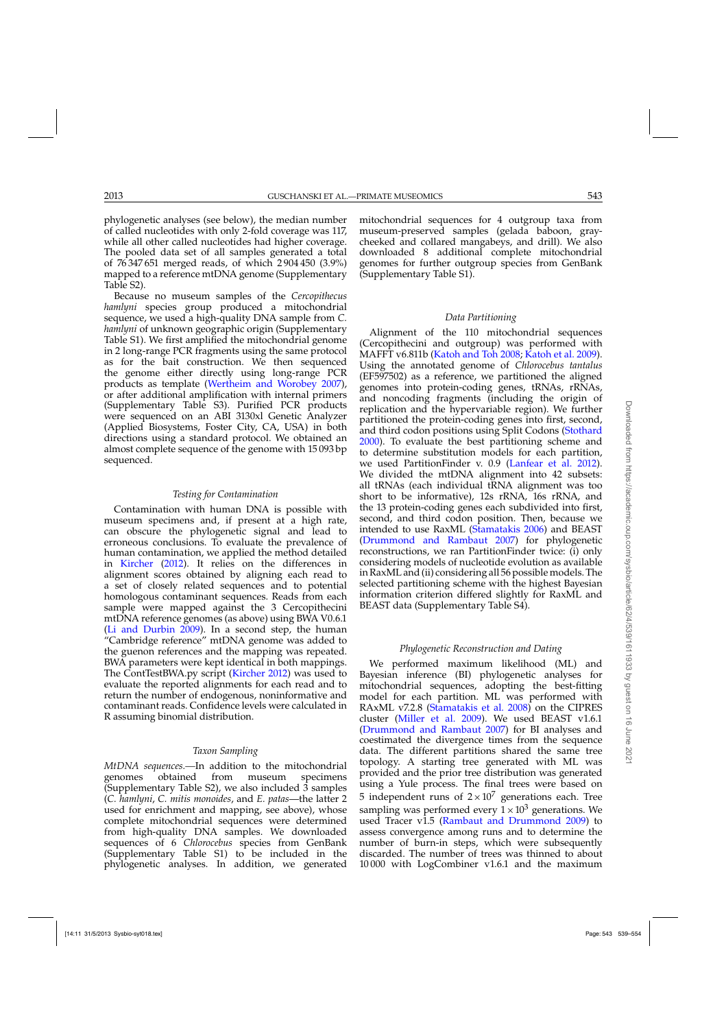phylogenetic analyses (see below), the median number of called nucleotides with only 2-fold coverage was 117, while all other called nucleotides had higher coverage. The pooled data set of all samples generated a total of 76 347 651 merged reads, of which 2 904 450 (3.9%) mapped to a reference mtDNA genome (Supplementary Table S2).

Because no museum samples of the *Cercopithecus hamlyni* species group produced a mitochondrial sequence, we used a high-quality DNA sample from *C. hamlyni* of unknown geographic origin (Supplementary Table S1). We first amplified the mitochondrial genome in 2 long-range PCR fragments using the same protocol as for the bait construction. We then sequenced the genome either directly using long-range PCR products as template [\(Wertheim and Worobey 2007\)](#page-16-0), or after additional amplification with internal primers (Supplementary Table S3). Purified PCR products were sequenced on an ABI 3130xl Genetic Analyzer (Applied Biosystems, Foster City, CA, USA) in both directions using a standard protocol. We obtained an almost complete sequence of the genome with 15 093 bp sequenced.

### *Testing for Contamination*

Contamination with human DNA is possible with museum specimens and, if present at a high rate, can obscure the phylogenetic signal and lead to erroneous conclusions. To evaluate the prevalence of human contamination, we applied the method detailed in [Kircher](#page-15-0) [\(2012](#page-15-0)). It relies on the differences in alignment scores obtained by aligning each read to a set of closely related sequences and to potential homologous contaminant sequences. Reads from each sample were mapped against the 3 Cercopithecini mtDNA reference genomes (as above) using BWA V0.6.1 [\(Li and Durbin 2009](#page-15-0)). In a second step, the human "Cambridge reference" mtDNA genome was added to the guenon references and the mapping was repeated. BWA parameters were kept identical in both mappings. The ContTestBWA.py script [\(Kircher 2012\)](#page-15-0) was used to evaluate the reported alignments for each read and to return the number of endogenous, noninformative and contaminant reads. Confidence levels were calculated in R assuming binomial distribution.

## *Taxon Sampling*

*MtDNA sequences.—*In addition to the mitochondrial genomes obtained from museum specimens (Supplementary Table S2), we also included 3 samples (*C. hamlyni*, *C. mitis monoides*, and *E. patas*—the latter 2 used for enrichment and mapping, see above), whose complete mitochondrial sequences were determined from high-quality DNA samples. We downloaded sequences of 6 *Chlorocebus* species from GenBank (Supplementary Table S1) to be included in the phylogenetic analyses. In addition, we generated mitochondrial sequences for 4 outgroup taxa from museum-preserved samples (gelada baboon, graycheeked and collared mangabeys, and drill). We also downloaded 8 additional complete mitochondrial genomes for further outgroup species from GenBank (Supplementary Table S1).

## *Data Partitioning*

Alignment of the 110 mitochondrial sequences (Cercopithecini and outgroup) was performed with MAFFT v6.811b [\(Katoh and Toh 2008](#page-14-0); [Katoh et al. 2009](#page-14-0)). Using the annotated genome of *Chlorocebus tantalus* (EF597502) as a reference, we partitioned the aligned genomes into protein-coding genes, tRNAs, rRNAs, and noncoding fragments (including the origin of replication and the hypervariable region). We further partitioned the protein-coding genes into first, second, and third codon positions using Split Codons [\(Stothard](#page-15-0) [2000\)](#page-15-0). To evaluate the best partitioning scheme and to determine substitution models for each partition, we used PartitionFinder v. 0.9 [\(Lanfear et al. 2012](#page-15-0)). We divided the mtDNA alignment into 42 subsets: all tRNAs (each individual tRNA alignment was too short to be informative), 12s rRNA, 16s rRNA, and the 13 protein-coding genes each subdivided into first, second, and third codon position. Then, because we intended to use RaxML [\(Stamatakis 2006](#page-15-0)) and BEAST [\(Drummond and Rambaut 2007](#page-14-0)) for phylogenetic reconstructions, we ran PartitionFinder twice: (i) only considering models of nucleotide evolution as available in RaxML and (ii) considering all 56 possible models. The selected partitioning scheme with the highest Bayesian information criterion differed slightly for RaxML and BEAST data (Supplementary Table S4).

## *Phylogenetic Reconstruction and Dating*

We performed maximum likelihood (ML) and Bayesian inference (BI) phylogenetic analyses for mitochondrial sequences, adopting the best-fitting model for each partition. ML was performed with RAxML v7.2.8 [\(Stamatakis et al. 2008\)](#page-15-0) on the CIPRES cluster [\(Miller et al. 2009\)](#page-15-0). We used BEAST v1.6.1 [\(Drummond and Rambaut 2007](#page-14-0)) for BI analyses and coestimated the divergence times from the sequence data. The different partitions shared the same tree topology. A starting tree generated with ML was provided and the prior tree distribution was generated using a Yule process. The final trees were based on 5 independent runs of  $2 \times 10^7$  generations each. Tree sampling was performed every  $1 \times 10^3$  generations. We used Tracer  $v1.5$  [\(Rambaut and Drummond 2009](#page-15-0)) to assess convergence among runs and to determine the number of burn-in steps, which were subsequently discarded. The number of trees was thinned to about 10 000 with LogCombiner v1.6.1 and the maximum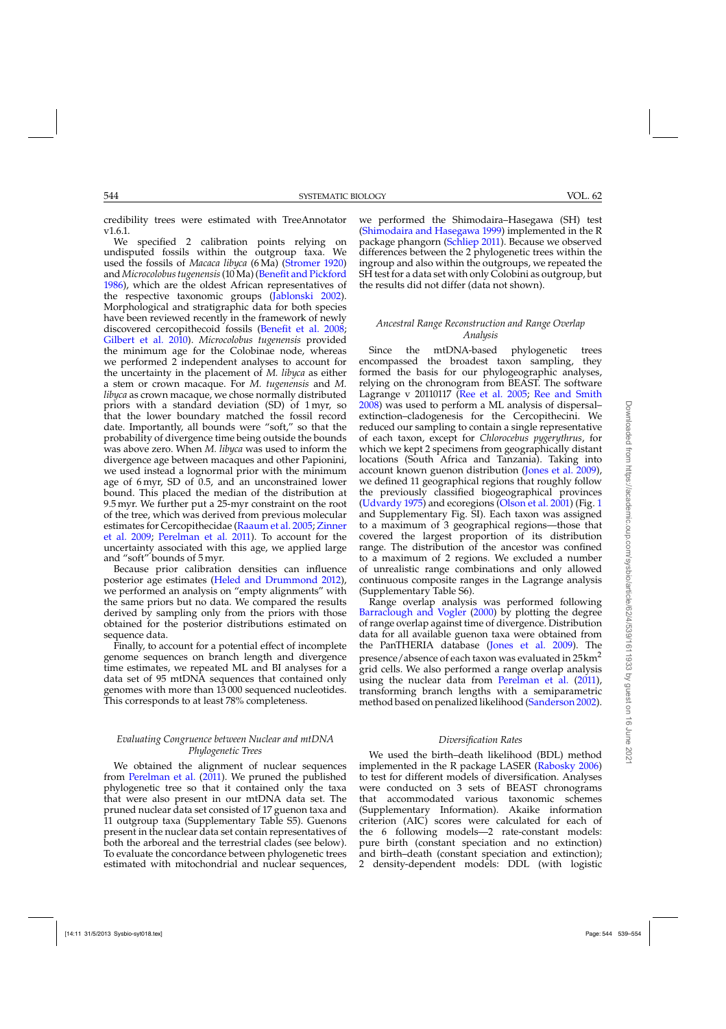credibility trees were estimated with TreeAnnotator v1.6.1.

We specified 2 calibration points relying on undisputed fossils within the outgroup taxa. We used the fossils of *Macaca libyca* (6 Ma) [\(Stromer 1920\)](#page-15-0) and *Microcolobus tugenensis*(10 Ma) [\(Benefit and Pickford](#page-13-0) [1986\)](#page-13-0), which are the oldest African representatives of the respective taxonomic groups [\(Jablonski 2002](#page-14-0)). Morphological and stratigraphic data for both species have been reviewed recently in the framework of newly discovered cercopithecoid fossils [\(Benefit et al. 2008;](#page-13-0) [Gilbert et al. 2010\)](#page-14-0). *Microcolobus tugenensis* provided the minimum age for the Colobinae node, whereas we performed 2 independent analyses to account for the uncertainty in the placement of *M. libyca* as either a stem or crown macaque. For *M. tugenensis* and *M. libyca* as crown macaque, we chose normally distributed priors with a standard deviation (SD) of 1 myr, so that the lower boundary matched the fossil record date. Importantly, all bounds were "soft," so that the probability of divergence time being outside the bounds was above zero. When *M. libyca* was used to inform the divergence age between macaques and other Papionini, we used instead a lognormal prior with the minimum age of 6 myr, SD of 0.5, and an unconstrained lower bound. This placed the median of the distribution at 9.5 myr. We further put a 25-myr constraint on the root of the tree, which was derived from previous molecular esti[mates for Cercopithecidae](#page-16-0) [\(Raaum et al. 2005](#page-15-0)[;](#page-16-0) Zinner et al. [2009](#page-16-0); [Perelman et al. 2011](#page-15-0)). To account for the uncertainty associated with this age, we applied large and "soft" bounds of 5 myr.

Because prior calibration densities can influence posterior age estimates [\(Heled and Drummond 2012](#page-14-0)), we performed an analysis on "empty alignments" with the same priors but no data. We compared the results derived by sampling only from the priors with those obtained for the posterior distributions estimated on sequence data.

Finally, to account for a potential effect of incomplete genome sequences on branch length and divergence time estimates, we repeated ML and BI analyses for a data set of 95 mtDNA sequences that contained only genomes with more than 13 000 sequenced nucleotides. This corresponds to at least 78% completeness.

## *Evaluating Congruence between Nuclear and mtDNA Phylogenetic Trees*

We obtained the alignment of nuclear sequences from [Perelman et al.](#page-15-0) [\(2011\)](#page-15-0). We pruned the published phylogenetic tree so that it contained only the taxa that were also present in our mtDNA data set. The pruned nuclear data set consisted of 17 guenon taxa and 11 outgroup taxa (Supplementary Table S5). Guenons present in the nuclear data set contain representatives of both the arboreal and the terrestrial clades (see below). To evaluate the concordance between phylogenetic trees estimated with mitochondrial and nuclear sequences,

we performed the Shimodaira–Hasegawa (SH) test [\(Shimodaira and Hasegawa 1999\)](#page-15-0) implemented in the R package phangorn [\(Schliep 2011\)](#page-15-0). Because we observed differences between the 2 phylogenetic trees within the ingroup and also within the outgroups, we repeated the SH test for a data set with only Colobini as outgroup, but the results did not differ (data not shown).

## *Ancestral Range Reconstruction and Range Overlap Analysis*

Since the mtDNA-based phylogenetic trees encompassed the broadest taxon sampling, they formed the basis for our phylogeographic analyses, relying on the chronogram from BEAST. The software Lagrange v 20110117 [\(Ree et al. 2005](#page-15-0); [Ree and Smith](#page-15-0) [2008\)](#page-15-0) was used to perform a ML analysis of dispersal– extinction–cladogenesis for the Cercopithecini. We reduced our sampling to contain a single representative of each taxon, except for *Chlorocebus pygerythrus*, for which we kept 2 specimens from geographically distant locations (South Africa and Tanzania). Taking into account known guenon distribution [\(Jones et al. 2009\)](#page-14-0), we defined 11 geographical regions that roughly follow the previously classified biogeographical provinces [\(Udvardy 1975\)](#page-16-0) and ecoregions [\(Olson et al. 2001](#page-15-0)) (Fig. [1](#page-2-0) and Supplementary Fig. SI). Each taxon was assigned to a maximum of 3 geographical regions—those that covered the largest proportion of its distribution range. The distribution of the ancestor was confined to a maximum of 2 regions. We excluded a number of unrealistic range combinations and only allowed continuous composite ranges in the Lagrange analysis (Supplementary Table S6).

Range overlap analysis was performed following [Barraclough and Vogler](#page-13-0) [\(2000\)](#page-13-0) by plotting the degree of range overlap against time of divergence. Distribution data for all available guenon taxa were obtained from the PanTHERIA database [\(Jones et al. 2009\)](#page-14-0). The presence/absence of each taxon was evaluated in 25km<sup>2</sup> grid cells. We also performed a range overlap analysis using the nuclear data from [Perelman et al.](#page-15-0) [\(2011\)](#page-15-0), transforming branch lengths with a semiparametric method based on penalized likelihood [\(Sanderson 2002\)](#page-15-0).

## *Diversification Rates*

We used the birth–death likelihood (BDL) method implemented in the R package LASER [\(Rabosky 2006](#page-15-0)) to test for different models of diversification. Analyses were conducted on 3 sets of BEAST chronograms that accommodated various taxonomic schemes (Supplementary Information). Akaike information criterion (AIC) scores were calculated for each of the 6 following models—2 rate-constant models: pure birth (constant speciation and no extinction) and birth–death (constant speciation and extinction); 2 density-dependent models: DDL (with logistic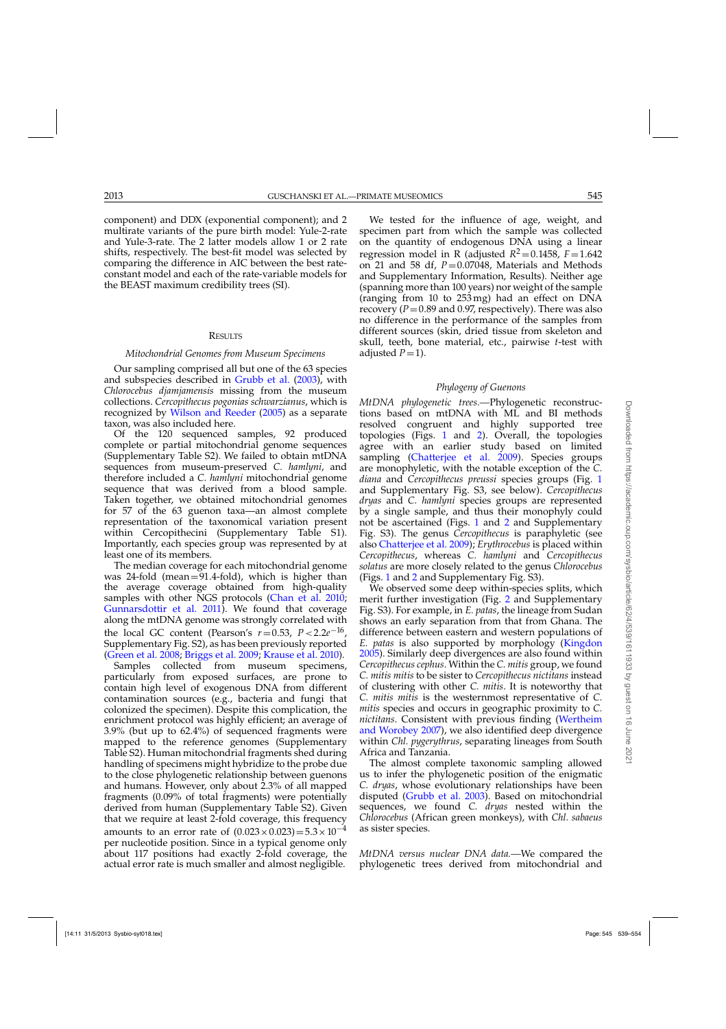component) and DDX (exponential component); and 2 multirate variants of the pure birth model: Yule-2-rate and Yule-3-rate. The 2 latter models allow 1 or 2 rate shifts, respectively. The best-fit model was selected by comparing the difference in AIC between the best rateconstant model and each of the rate-variable models for the BEAST maximum credibility trees (SI).

#### **RESULTS**

#### *Mitochondrial Genomes from Museum Specimens*

Our sampling comprised all but one of the 63 species and subspecies described in [Grubb et al.](#page-14-0) [\(2003](#page-14-0)), with *Chlorocebus djamjamensis* missing from the museum collections. *Cercopithecus pogonias schwarzianus*, which is recognized by [Wilson and Reeder](#page-16-0) [\(2005\)](#page-16-0) as a separate taxon, was also included here.

Of the 120 sequenced samples, 92 produced complete or partial mitochondrial genome sequences (Supplementary Table S2). We failed to obtain mtDNA sequences from museum-preserved *C. hamlyni*, and therefore included a *C. hamlyni* mitochondrial genome sequence that was derived from a blood sample. Taken together, we obtained mitochondrial genomes for 57 of the 63 guenon taxa—an almost complete representation of the taxonomical variation present within Cercopithecini (Supplementary Table S1). Importantly, each species group was represented by at least one of its members.

The median coverage for each mitochondrial genome was  $24$ -fold (mean= $91.4$ -fold), which is higher than the average coverage obtained from high-quality samples with other NGS protocols [\(Chan et al. 2010](#page-14-0); [Gunnarsdottir et al. 2011\)](#page-14-0). We found that coverage along the mtDNA genome was strongly correlated with the local GC content (Pearson's  $r=0.53$ ,  $P < 2.2e^{-16}$ , Supplementary Fig. S2), as has been previously reported [\(Green et al. 2008;](#page-14-0) [Briggs et al. 2009;](#page-14-0) [Krause et al. 2010](#page-15-0)).

Samples collected from museum specimens, particularly from exposed surfaces, are prone to contain high level of exogenous DNA from different contamination sources (e.g., bacteria and fungi that colonized the specimen). Despite this complication, the enrichment protocol was highly efficient; an average of 3.9% (but up to 62.4%) of sequenced fragments were mapped to the reference genomes (Supplementary Table S2). Human mitochondrial fragments shed during handling of specimens might hybridize to the probe due to the close phylogenetic relationship between guenons and humans. However, only about 2.3% of all mapped fragments (0.09% of total fragments) were potentially derived from human (Supplementary Table S2). Given that we require at least 2-fold coverage, this frequency amounts to an error rate of  $(0.023 \times 0.023) = 5.3 \times 10^{-4}$ per nucleotide position. Since in a typical genome only about 117 positions had exactly 2-fold coverage, the actual error rate is much smaller and almost negligible.

We tested for the influence of age, weight, and specimen part from which the sample was collected on the quantity of endogenous DNA using a linear regression model in R (adjusted  $R^2 = 0.1458$ ,  $F = 1.642$ on 21 and 58 df,  $P = 0.07048$ , Materials and Methods and Supplementary Information, Results). Neither age (spanning more than 100 years) nor weight of the sample (ranging from 10 to 253 mg) had an effect on DNA recovery  $(P=0.89$  and 0.97, respectively). There was also no difference in the performance of the samples from different sources (skin, dried tissue from skeleton and skull, teeth, bone material, etc., pairwise *t*-test with adjusted  $P=1$ ).

#### *Phylogeny of Guenons*

*MtDNA phylogenetic trees.—*Phylogenetic reconstructions based on mtDNA with ML and BI methods resolved congruent and highly supported tree topologies (Figs. [1](#page-2-0) and [2\)](#page-8-0). Overall, the topologies agree with an earlier study based on limited sampling [\(Chatterjee et al. 2009\)](#page-14-0). Species groups are monophyletic, with the notable exception of the *C. diana* and *Cercopithecus preussi* species groups (Fig. [1](#page-2-0) and Supplementary Fig. S3, see below). *Cercopithecus dryas* and *C. hamlyni* species groups are represented by a single sample, and thus their monophyly could not be ascertained (Figs. [1](#page-2-0) and [2](#page-8-0) and Supplementary Fig. S3). The genus *Cercopithecus* is paraphyletic (see also [Chatterjee et al. 2009](#page-14-0)); *Erythrocebus* is placed within *Cercopithecus*, whereas *C. hamlyni* and *Cercopithecus solatus* are more closely related to the genus *Chlorocebus* (Figs. [1](#page-2-0) and [2](#page-8-0) and Supplementary Fig. S3).

We observed some deep within-species splits, which merit further investigation (Fig. [2](#page-8-0) and Supplementary Fig. S3). For example, in *E. patas*, the lineage from Sudan shows an early separation from that from Ghana. The difference between eastern and western populations of *E. patas* is also supported by morphology [\(Kingdon](#page-15-0) [2005\)](#page-15-0). Similarly deep divergences are also found within *Cercopithecus cephus*. Within the *C. mitis* group, we found *C. mitis mitis* to be sister to *Cercopithecus nictitans* instead of clustering with other *C. mitis*. It is noteworthy that *C. mitis mitis* is the westernmost representative of *C. mitis* species and occurs in geographic proximity to *C. nictitans*. Co[nsistent with previous finding \(](#page-16-0)Wertheim and Worobey [2007\)](#page-16-0), we also identified deep divergence within *Chl. pygerythrus*, separating lineages from South Africa and Tanzania.

The almost complete taxonomic sampling allowed us to infer the phylogenetic position of the enigmatic *C. dryas*, whose evolutionary relationships have been disputed [\(Grubb et al. 2003\)](#page-14-0). Based on mitochondrial sequences, we found *C. dryas* nested within the *Chlorocebus* (African green monkeys), with *Chl. sabaeus* as sister species.

*MtDNA versus nuclear DNA data.—*We compared the phylogenetic trees derived from mitochondrial and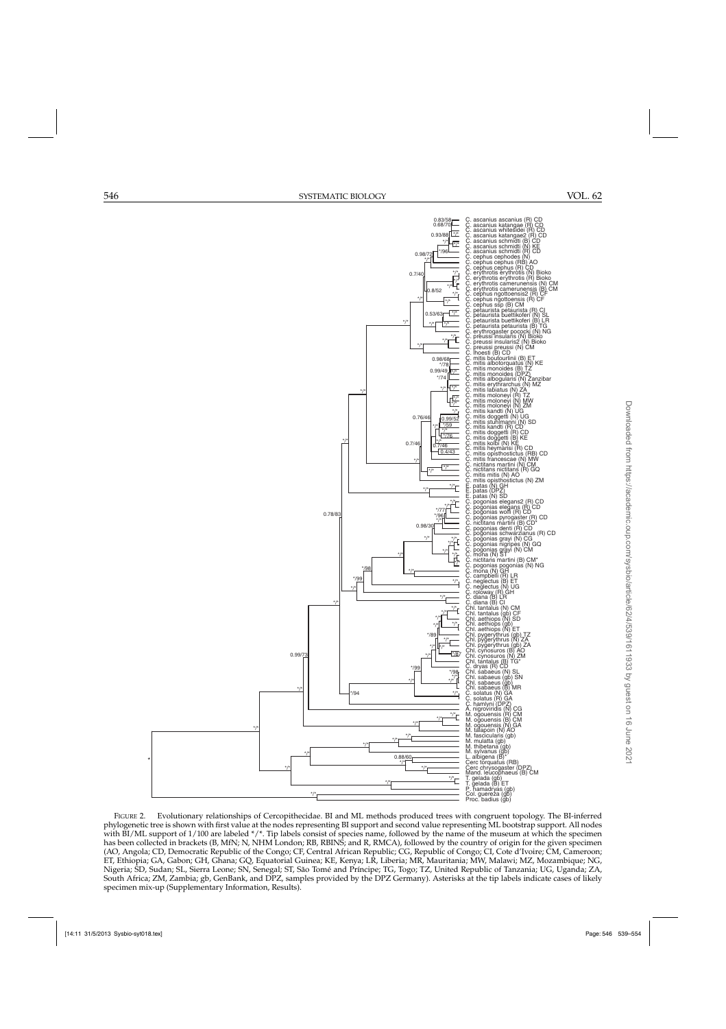<span id="page-8-0"></span>

FIGURE 2. Evolutionary relationships of Cercopithecidae. BI and ML methods produced trees with congruent topology. The BI-inferred phylogenetic tree is shown with first value at the nodes representing BI support and second value representing ML bootstrap support. All nodes with BI/ML support of 1/100 are labeled \*/\*. Tip labels consist of species name, followed by the name of the museum at which the specimen has been collected in brackets (B, MfN; N, NHM London; RB, RBINS; and R, RMCA), followed by the country of origin for the given specimen (AO, Angola; CD, Democratic Republic of the Congo; CF, Central African Republic; CG, Republic of Congo; CI, Cote d'Ivoire; CM, Cameroon; ET, Ethiopia; GA, Gabon; GH, Ghana; GQ, Equatorial Guinea; KE, Kenya; LR, Liberia; MR, Mauritania; MW, Malawi; MZ, Mozambique; NG, Nigeria; SD, Sudan; SL, Sierra Leone; SN, Senegal; ST, São Tomé and Príncipe; TG, Togo; TZ, United Republic of Tanzania; UG, Uganda; ZA, South Africa; ZM, Zambia; gb, GenBank, and DPZ, samples provided by the DPZ Germany). Asterisks at the tip labels indicate cases of likely specimen mix-up (Supplementary Information, Results).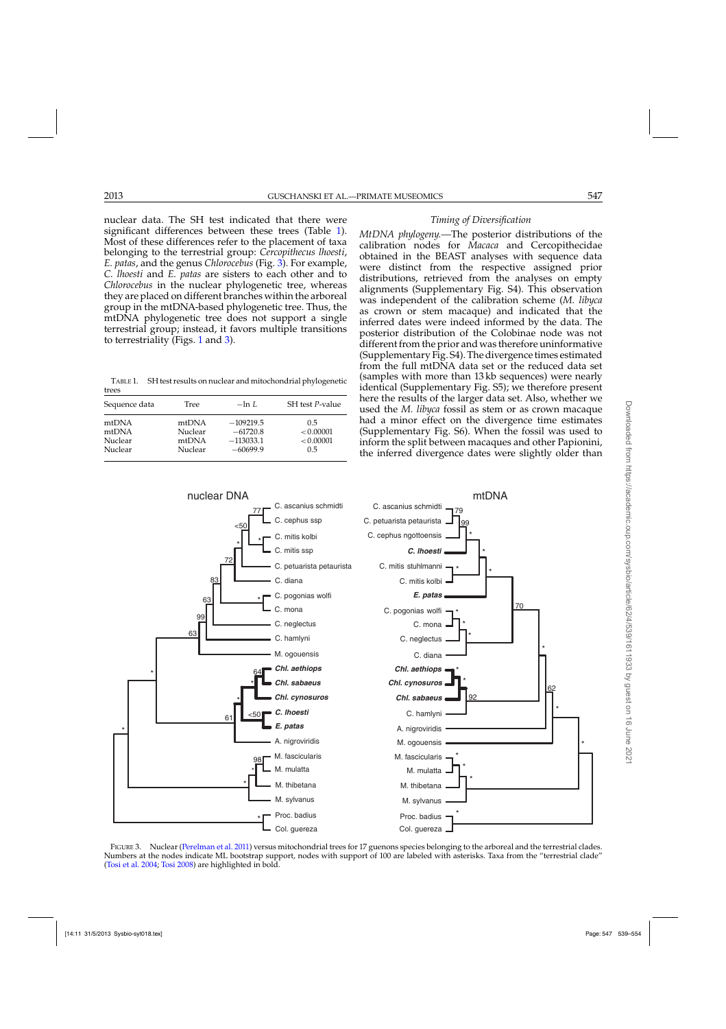<span id="page-9-0"></span>nuclear data. The SH test indicated that there were significant differences between these trees (Table 1). Most of these differences refer to the placement of taxa belonging to the terrestrial group: *Cercopithecus lhoesti*, *E. patas*, and the genus *Chlorocebus* (Fig. 3). For example, *C. lhoesti* and *E. patas* are sisters to each other and to *Chlorocebus* in the nuclear phylogenetic tree, whereas they are placed on different branches within the arboreal group in the mtDNA-based phylogenetic tree. Thus, the mtDNA phylogenetic tree does not support a single terrestrial group; instead, it favors multiple transitions to terrestriality (Figs. [1](#page-2-0) and 3).

TABLE 1. SH test results on nuclear and mitochondrial phylogenetic trees

| Sequence data | Tree    | $-\ln L$    | SH test P-value |
|---------------|---------|-------------|-----------------|
| mtDNA         | mtDNA   | $-109219.5$ | 0.5             |
| mtDNA         | Nuclear | $-61720.8$  | < 0.00001       |
| Nuclear       | mtDNA   | $-113033.1$ | < 0.00001       |
| Nuclear       | Nuclear | $-60699.9$  | 0.5             |



*Timing of Diversification*

*MtDNA phylogeny.—*The posterior distributions of the calibration nodes for *Macaca* and Cercopithecidae obtained in the BEAST analyses with sequence data were distinct from the respective assigned prior distributions, retrieved from the analyses on empty alignments (Supplementary Fig. S4). This observation was independent of the calibration scheme (*M. libyca* as crown or stem macaque) and indicated that the inferred dates were indeed informed by the data. The posterior distribution of the Colobinae node was not different from the prior and was therefore uninformative (Supplementary Fig. S4). The divergence times estimated from the full mtDNA data set or the reduced data set (samples with more than 13 kb sequences) were nearly identical (Supplementary Fig. S5); we therefore present here the results of the larger data set. Also, whether we used the *M. libyca* fossil as stem or as crown macaque had a minor effect on the divergence time estimates (Supplementary Fig. S6). When the fossil was used to inform the split between macaques and other Papionini, the inferred divergence dates were slightly older than



FIGURE 3. Nuclear [\(Perelman et al. 2011\)](#page-15-0) versus mitochondrial trees for 17 guenons species belonging to the arboreal and the terrestrial clades. Numbers at the nodes indicate ML bootstrap support, nodes with support of 100 are labeled with asterisks. Taxa from the "terrestrial clade" [\(Tosi et al. 2004](#page-15-0); [Tosi 2008](#page-15-0)) are highlighted in bold.

Col. guereza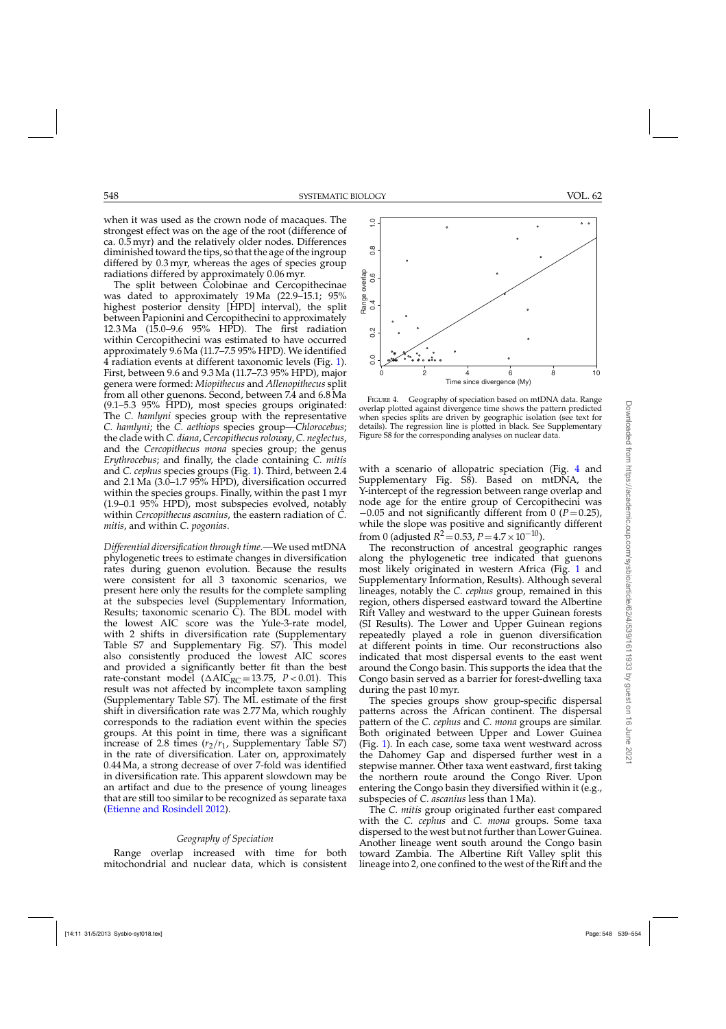548 SYSTEMATIC BIOLOGY VOL. 62

Range overlap

Range overlap<br>0.4 0.6

 $0.2$ 

 $\supseteq$ 

 $\frac{8}{2}$ 

when it was used as the crown node of macaques. The strongest effect was on the age of the root (difference of ca. 0.5 myr) and the relatively older nodes. Differences diminished toward the tips, so that the age of the ingroup differed by 0.3 myr, whereas the ages of species group

radiations differed by approximately 0.06 myr. The split between Colobinae and Cercopithecinae was dated to approximately 19 Ma (22.9–15.1; 95% highest posterior density [HPD] interval), the split between Papionini and Cercopithecini to approximately 12.3 Ma (15.0–9.6 95% HPD). The first radiation within Cercopithecini was estimated to have occurred approximately 9.6 Ma (11.7–7.5 95% HPD). We identified 4 radiation events at different taxonomic levels (Fig. [1\)](#page-2-0). First, between 9.6 and 9.3 Ma (11.7–7.3 95% HPD), major genera were formed: *Miopithecus* and *Allenopithecus* split from all other guenons. Second, between 7.4 and 6.8 Ma (9.1–5.3 95% HPD), most species groups originated: The *C. hamlyni* species group with the representative *C. hamlyni*; the *C. aethiops* species group—*Chlorocebus*; the clade with *C. diana*, *Cercopithecus roloway*, *C. neglectus*, and the *Cercopithecus mona* species group; the genus *Erythrocebus*; and finally, the clade containing *C. mitis* and *C. cephus* species groups (Fig. [1\)](#page-2-0). Third, between 2.4 and 2.1 Ma (3.0–1.7 95% HPD), diversification occurred within the species groups. Finally, within the past 1 myr (1.9–0.1 95% HPD), most subspecies evolved, notably within *Cercopithecus ascanius*, the eastern radiation of *C. mitis*, and within *C. pogonias*.

*Differential diversification through time.—*We used mtDNA phylogenetic trees to estimate changes in diversification rates during guenon evolution. Because the results were consistent for all 3 taxonomic scenarios, we present here only the results for the complete sampling at the subspecies level (Supplementary Information, Results; taxonomic scenario C). The BDL model with the lowest AIC score was the Yule-3-rate model, with 2 shifts in diversification rate (Supplementary Table S7 and Supplementary Fig. S7). This model also consistently produced the lowest AIC scores and provided a significantly better fit than the best rate-constant model ( $\triangle AIC_{RC} = 13.75$ ,  $P < 0.01$ ). This result was not affected by incomplete taxon sampling (Supplementary Table S7). The ML estimate of the first shift in diversification rate was 2.77 Ma, which roughly corresponds to the radiation event within the species groups. At this point in time, there was a significant increase of 2.8 times  $(r_2/r_1)$ , Supplementary Table S7) in the rate of diversification. Later on, approximately 0.44 Ma, a strong decrease of over 7-fold was identified in diversification rate. This apparent slowdown may be an artifact and due to the presence of young lineages that are still too similar to be recognized as separate taxa [\(Etienne and Rosindell 2012](#page-14-0)).

## *Geography of Speciation*

Range overlap increased with time for both mitochondrial and nuclear data, which is consistent



●

●

● ●

●

●

●

●

●

details). The regression line is plotted in black. See Supplementary Figure S8 for the corresponding analyses on nuclear data.

with a scenario of allopatric speciation (Fig. 4 and Supplementary Fig. S8). Based on mtDNA, the Y-intercept of the regression between range overlap and node age for the entire group of Cercopithecini was −0.05 and not significantly different from 0 (*P*=0.25), while the slope was positive and significantly different from 0 (adjusted  $R^2 = 0.53$ ,  $P = 4.7 \times 10^{-10}$ ).

The reconstruction of ancestral geographic ranges along the phylogenetic tree indicated that guenons most likely originated in western Africa (Fig. [1](#page-2-0) and Supplementary Information, Results). Although several lineages, notably the *C. cephus* group, remained in this region, others dispersed eastward toward the Albertine Rift Valley and westward to the upper Guinean forests (SI Results). The Lower and Upper Guinean regions repeatedly played a role in guenon diversification at different points in time. Our reconstructions also indicated that most dispersal events to the east went around the Congo basin. This supports the idea that the Congo basin served as a barrier for forest-dwelling taxa during the past 10 myr.

The species groups show group-specific dispersal patterns across the African continent. The dispersal pattern of the *C. cephus* and *C. mona* groups are similar. Both originated between Upper and Lower Guinea (Fig. [1\)](#page-2-0). In each case, some taxa went westward across the Dahomey Gap and dispersed further west in a stepwise manner. Other taxa went eastward, first taking the northern route around the Congo River. Upon entering the Congo basin they diversified within it (e.g., subspecies of *C. ascanius* less than 1 Ma).

The *C. mitis* group originated further east compared with the *C. cephus* and *C. mona* groups. Some taxa dispersed to the west but not further than Lower Guinea. Another lineage went south around the Congo basin toward Zambia. The Albertine Rift Valley split this lineage into 2, one confined to the west of the Rift and the

● ●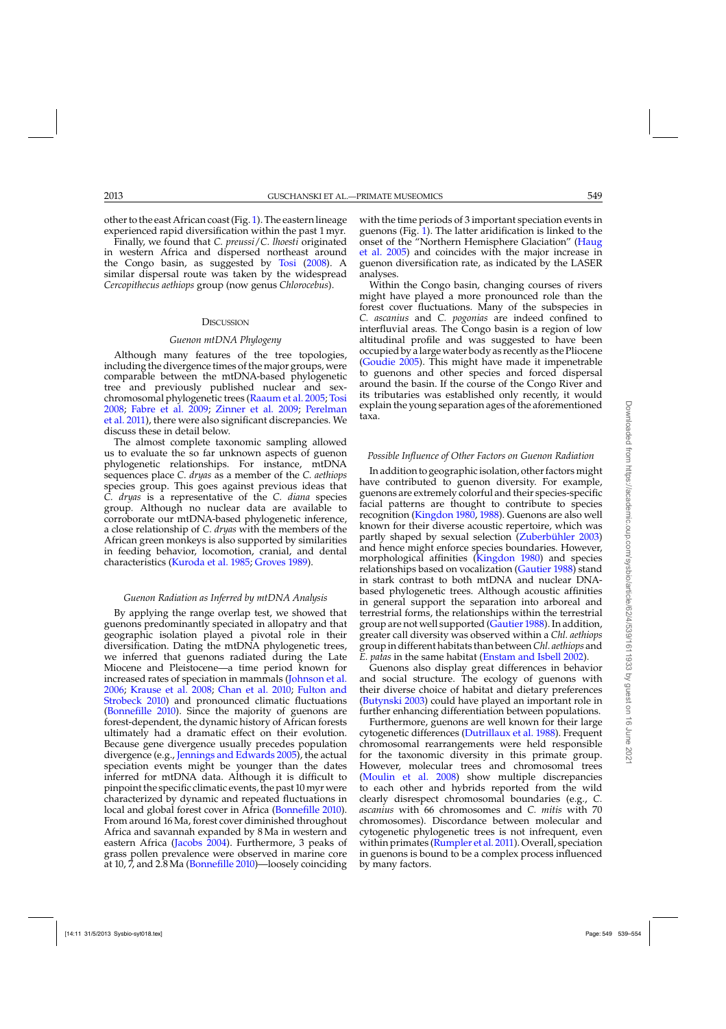other to the east African coast (Fig. [1\)](#page-2-0). The eastern lineage experienced rapid diversification within the past 1 myr.

Finally, we found that *C. preussi*/*C. lhoesti* originated in western Africa and dispersed northeast around the Congo basin, as suggested by [Tosi](#page-15-0) [\(2008\)](#page-15-0). A similar dispersal route was taken by the widespread *Cercopithecus aethiops* group (now genus *Chlorocebus*).

## **DISCUSSION**

#### *Guenon mtDNA Phylogeny*

Although many features of the tree topologies, including the divergence times of the major groups, were comparable between the mtDNA-based phylogenetic tree and previously published nuclear and sexchromosomal phylogenetic trees [\(Raaum et al. 2005](#page-15-0); [Tosi](#page-15-0) [2008;](#page-15-0) [Fabre et al. 2009](#page-14-0); [Zinner et al. 2009](#page-16-0)[;](#page-15-0) Perelman et al. [2011](#page-15-0)), there were also significant discrepancies. We discuss these in detail below.

The almost complete taxonomic sampling allowed us to evaluate the so far unknown aspects of guenon phylogenetic relationships. For instance, mtDNA sequences place *C. dryas* as a member of the *C. aethiops* species group. This goes against previous ideas that *C. dryas* is a representative of the *C. diana* species group. Although no nuclear data are available to corroborate our mtDNA-based phylogenetic inference, a close relationship of *C. dryas* with the members of the African green monkeys is also supported by similarities in feeding behavior, locomotion, cranial, and dental characteristics [\(Kuroda et al. 1985](#page-15-0); [Groves 1989\)](#page-14-0).

## *Guenon Radiation as Inferred by mtDNA Analysis*

By applying the range overlap test, we showed that guenons predominantly speciated in allopatry and that geographic isolation played a pivotal role in their diversification. Dating the mtDNA phylogenetic trees, we inferred that guenons radiated during the Late Miocene and Pleistocene—a time period known for increased rates of speciation in mammals [\(Johnson et al.](#page-14-0) [2006;](#page-14-0) [Krause et al. 2008;](#page-15-0) [Chan et al. 2010;](#page-14-0) Fulton and Strobeck [2010\)](#page-14-0) and pronounced climatic fluctuations [\(Bonnefille 2010\)](#page-13-0). Since the majority of guenons are forest-dependent, the dynamic history of African forests ultimately had a dramatic effect on their evolution. Because gene divergence usually precedes population divergence (e.g., [Jennings and Edwards 2005](#page-14-0)), the actual speciation events might be younger than the dates inferred for mtDNA data. Although it is difficult to pinpoint the specific climatic events, the past 10 myr were characterized by dynamic and repeated fluctuations in local and global forest cover in Africa [\(Bonnefille 2010\)](#page-13-0). From around 16 Ma, forest cover diminished throughout Africa and savannah expanded by 8 Ma in western and eastern Africa [\(Jacobs 2004\)](#page-14-0). Furthermore, 3 peaks of grass pollen prevalence were observed in marine core at 10, 7, and 2.8 Ma [\(Bonnefille 2010\)](#page-13-0)—loosely coinciding

with the time periods of 3 important speciation events in guenons (Fig. [1\)](#page-2-0). The latter aridification is linked to the onse[t of the "Northern Hemisphere Glaciation" \(](#page-14-0)Haug et al. [2005](#page-14-0)) and coincides with the major increase in guenon diversification rate, as indicated by the LASER analyses.

Within the Congo basin, changing courses of rivers might have played a more pronounced role than the forest cover fluctuations. Many of the subspecies in *C. ascanius* and *C. pogonias* are indeed confined to interfluvial areas. The Congo basin is a region of low altitudinal profile and was suggested to have been occupied by alarge water body as recently as the Pliocene [\(Goudie 2005](#page-14-0)). This might have made it impenetrable to guenons and other species and forced dispersal around the basin. If the course of the Congo River and its tributaries was established only recently, it would explain the young separation ages of the aforementioned taxa.

## *Possible Influence of Other Factors on Guenon Radiation*

In addition to geographic isolation, other factors might have contributed to guenon diversity. For example, guenons are extremely colorful and their species-specific facial patterns are thought to contribute to species recognition [\(Kingdon 1980](#page-15-0), [1988](#page-14-0)). Guenons are also well known for their diverse acoustic repertoire, which was partly shaped by sexual selection [\(Zuberbühler 2003\)](#page-16-0) and hence might enforce species boundaries. However, morphological affinities [\(Kingdon 1980](#page-15-0)) and species relationships based on vocalization [\(Gautier 1988](#page-14-0)) stand in stark contrast to both mtDNA and nuclear DNAbased phylogenetic trees. Although acoustic affinities in general support the separation into arboreal and terrestrial forms, the relationships within the terrestrial group are not well supported [\(Gautier 1988\)](#page-14-0). In addition, greater call diversity was observed within a *Chl. aethiops* group in different habitats than between *Chl. aethiops* and *E. patas* in the same habitat [\(Enstam and Isbell 2002\)](#page-14-0).

Guenons also display great differences in behavior and social structure. The ecology of guenons with their diverse choice of habitat and dietary preferences [\(Butynski 2003](#page-14-0)) could have played an important role in further enhancing differentiation between populations.

Furthermore, guenons are well known for their large cytogenetic differences [\(Dutrillaux et al. 1988](#page-14-0)). Frequent chromosomal rearrangements were held responsible for the taxonomic diversity in this primate group. However, molecular trees and chromosomal trees [\(Moulin et al. 2008](#page-15-0)) show multiple discrepancies to each other and hybrids reported from the wild clearly disrespect chromosomal boundaries (e.g., *C. ascanius* with 66 chromosomes and *C. mitis* with 70 chromosomes). Discordance between molecular and cytogenetic phylogenetic trees is not infrequent, even within primates [\(Rumpler et al. 2011](#page-15-0)). Overall, speciation in guenons is bound to be a complex process influenced by many factors.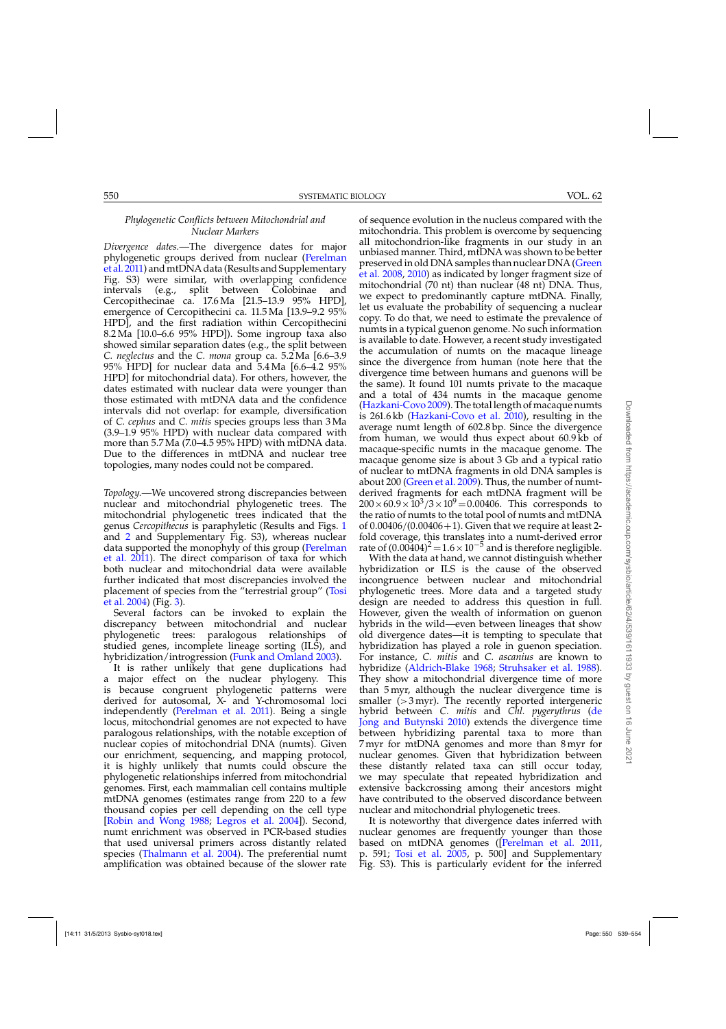## *Phylogenetic Conflicts between Mitochondrial and Nuclear Markers*

*Divergence dates.—*The divergence dates for major phy[logenetic groups derived from nuclear \(](#page-15-0)Perelman et al. [2011\)](#page-15-0) and mtDNA data (Results and Supplementary Fig. S3) were similar, with overlapping confidence intervals (e.g., split between Colobinae and Cercopithecinae ca. 17.6 Ma [21.5–13.9 95% HPD], emergence of Cercopithecini ca. 11.5 Ma [13.9–9.2 95% HPD], and the first radiation within Cercopithecini 8.2 Ma [10.0–6.6 95% HPD]). Some ingroup taxa also showed similar separation dates (e.g., the split between *C. neglectus* and the *C. mona* group ca. 5.2 Ma [6.6–3.9 95% HPD] for nuclear data and 5.4 Ma [6.6–4.2 95% HPD] for mitochondrial data). For others, however, the dates estimated with nuclear data were younger than those estimated with mtDNA data and the confidence intervals did not overlap: for example, diversification of *C. cephus* and *C. mitis* species groups less than 3 Ma (3.9–1.9 95% HPD) with nuclear data compared with more than 5.7 Ma (7.0–4.5 95% HPD) with mtDNA data. Due to the differences in mtDNA and nuclear tree topologies, many nodes could not be compared.

*Topology.—*We uncovered strong discrepancies between nuclear and mitochondrial phylogenetic trees. The mitochondrial phylogenetic trees indicated that the genus *Cercopithecus* is paraphyletic (Results and Figs. [1](#page-2-0) and [2](#page-8-0) and Supplementary Fig. S3), whereas nuclear data [supported the monophyly of this group \(](#page-15-0)Perelman et al. [2011\)](#page-15-0). The direct comparison of taxa for which both nuclear and mitochondrial data were available further indicated that most discrepancies involved the plac[ement of species from the "terrestrial group" \(](#page-15-0)Tosi et al. [2004\)](#page-15-0) (Fig. [3\)](#page-9-0).

Several factors can be invoked to explain the discrepancy between mitochondrial and nuclear phylogenetic trees: paralogous relationships of studied genes, incomplete lineage sorting (ILS), and hybridization/introgression [\(Funk and Omland 2003](#page-14-0)).

It is rather unlikely that gene duplications had a major effect on the nuclear phylogeny. This is because congruent phylogenetic patterns were derived for autosomal, X- and Y-chromosomal loci independently [\(Perelman et al. 2011\)](#page-15-0). Being a single locus, mitochondrial genomes are not expected to have paralogous relationships, with the notable exception of nuclear copies of mitochondrial DNA (numts). Given our enrichment, sequencing, and mapping protocol, it is highly unlikely that numts could obscure the phylogenetic relationships inferred from mitochondrial genomes. First, each mammalian cell contains multiple mtDNA genomes (estimates range from 220 to a few thousand copies per cell depending on the cell type [\[Robin and Wong 1988](#page-15-0); [Legros et al. 2004](#page-15-0)]). Second, numt enrichment was observed in PCR-based studies that used universal primers across distantly related species [\(Thalmann et al. 2004\)](#page-15-0). The preferential numt amplification was obtained because of the slower rate

of sequence evolution in the nucleus compared with the mitochondria. This problem is overcome by sequencing all mitochondrion-like fragments in our study in an unbiased manner. Third, mtDNA was shown to be better pres[erved in old DNA samples than nuclear DNA \(](#page-14-0)Green et al. [2008](#page-14-0), [2010](#page-14-0)) as indicated by longer fragment size of mitochondrial (70 nt) than nuclear (48 nt) DNA. Thus, we expect to predominantly capture mtDNA. Finally, let us evaluate the probability of sequencing a nuclear copy. To do that, we need to estimate the prevalence of numts in a typical guenon genome. No such information is available to date. However, a recent study investigated the accumulation of numts on the macaque lineage since the divergence from human (note here that the divergence time between humans and guenons will be the same). It found 101 numts private to the macaque and a total of 434 numts in the macaque genome [\(Hazkani-Covo 2009](#page-14-0)). The total length of macaque numts is 261.6 kb [\(Hazkani-Covo et al. 2010](#page-14-0)), resulting in the average numt length of 602.8 bp. Since the divergence from human, we would thus expect about 60.9 kb of macaque-specific numts in the macaque genome. The macaque genome size is about 3 Gb and a typical ratio of nuclear to mtDNA fragments in old DNA samples is about 200 [\(Green et al. 2009](#page-14-0)). Thus, the number of numtderived fragments for each mtDNA fragment will be  $200 \times 60.9 \times 10^{3} / 3 \times 10^{9} = 0.00406$ . This corresponds to the ratio of numts to the total pool of numts and mtDNA of  $0.00406/(0.00406+1)$ . Given that we require at least 2fold coverage, this translates into a numt-derived error rate of  $(0.00404)^2$  =  $1.6 \times 10^{-5}$  and is therefore negligible.

With the data at hand, we cannot distinguish whether hybridization or ILS is the cause of the observed incongruence between nuclear and mitochondrial phylogenetic trees. More data and a targeted study design are needed to address this question in full. However, given the wealth of information on guenon hybrids in the wild—even between lineages that show old divergence dates—it is tempting to speculate that hybridization has played a role in guenon speciation. For instance, *C. mitis* and *C. ascanius* are known to hybridize [\(Aldrich-Blake 1968](#page-13-0); [Struhsaker et al. 1988\)](#page-15-0). They show a mitochondrial divergence time of more than 5 myr, although the nuclear divergence time is smaller  $(>3$  myr). The recently reported intergeneric hybrid between *C. mitis* and *[Chl. pygerythrus](#page-14-0)* (de Jong and Butynski [2010\)](#page-14-0) extends the divergence time between hybridizing parental taxa to more than 7 myr for mtDNA genomes and more than 8 myr for nuclear genomes. Given that hybridization between these distantly related taxa can still occur today, we may speculate that repeated hybridization and extensive backcrossing among their ancestors might have contributed to the observed discordance between nuclear and mitochondrial phylogenetic trees.

It is noteworthy that divergence dates inferred with nuclear genomes are frequently younger than those based on mtDNA genomes ([\[Perelman et al. 2011](#page-15-0), p. 591; [Tosi et al. 2005,](#page-15-0) p. 500] and Supplementary Fig. S3). This is particularly evident for the inferred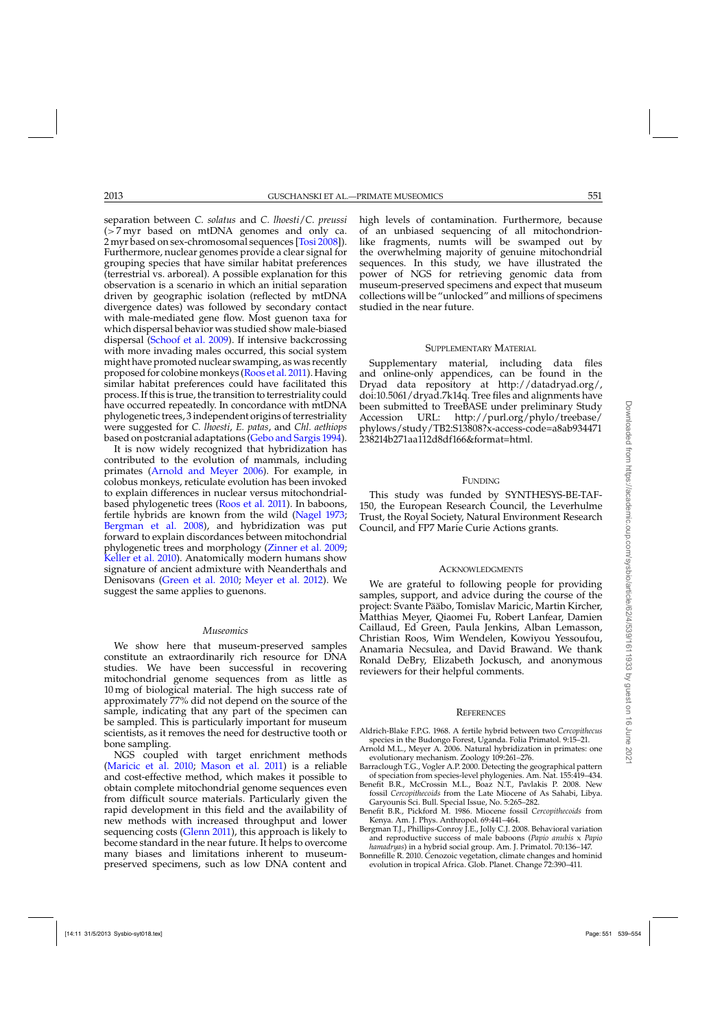<span id="page-13-0"></span>separation between *C. solatus* and *C. lhoesti*/*C. preussi* (>7 myr based on mtDNA genomes and only ca. 2 myr based on sex-chromosomal sequences [\[Tosi 2008](#page-15-0)]). Furthermore, nuclear genomes provide a clear signal for grouping species that have similar habitat preferences (terrestrial vs. arboreal). A possible explanation for this observation is a scenario in which an initial separation driven by geographic isolation (reflected by mtDNA divergence dates) was followed by secondary contact with male-mediated gene flow. Most guenon taxa for which dispersal behavior was studied show male-biased dispersal [\(Schoof et al. 2009\)](#page-15-0). If intensive backcrossing with more invading males occurred, this social system might have promoted nuclear swamping, as was recently proposed for colobine monkeys [\(Roos et al. 2011](#page-15-0)). Having similar habitat preferences could have facilitated this process. If this is true, the transition to terrestriality could have occurred repeatedly. In concordance with mtDNA phylogenetic trees, 3 independent origins of terrestriality were suggested for *C. lhoesti*, *E. patas*, and *Chl. aethiops* based on postcranial adaptations [\(Gebo and Sargis 1994\)](#page-14-0).

It is now widely recognized that hybridization has contributed to the evolution of mammals, including primates (Arnold and Meyer 2006). For example, in colobus monkeys, reticulate evolution has been invoked to explain differences in nuclear versus mitochondrialbased phylogenetic trees [\(Roos et al. 2011](#page-15-0)). In baboons, fertile hybrids are known from the wild [\(Nagel 1973](#page-15-0); Bergman et al. 2008), and hybridization was put forward to explain discordances between mitochondrial phylogenetic trees and morphology [\(Zinner et al. 2009](#page-16-0); [Keller et al. 2010](#page-14-0)). Anatomically modern humans show signature of ancient admixture with Neanderthals and Denisovans [\(Green et al. 2010;](#page-14-0) [Meyer et al. 2012\)](#page-15-0). We suggest the same applies to guenons.

### *Museomics*

We show here that museum-preserved samples constitute an extraordinarily rich resource for DNA studies. We have been successful in recovering mitochondrial genome sequences from as little as 10 mg of biological material. The high success rate of approximately 77% did not depend on the source of the sample, indicating that any part of the specimen can be sampled. This is particularly important for museum scientists, as it removes the need for destructive tooth or bone sampling.

NGS coupled with target enrichment methods [\(Maricic et al. 2010](#page-15-0); [Mason et al. 2011\)](#page-15-0) is a reliable and cost-effective method, which makes it possible to obtain complete mitochondrial genome sequences even from difficult source materials. Particularly given the rapid development in this field and the availability of new methods with increased throughput and lower sequencing costs [\(Glenn 2011](#page-14-0)), this approach is likely to become standard in the near future. It helps to overcome many biases and limitations inherent to museumpreserved specimens, such as low DNA content and

high levels of contamination. Furthermore, because of an unbiased sequencing of all mitochondrionlike fragments, numts will be swamped out by the overwhelming majority of genuine mitochondrial sequences. In this study, we have illustrated the power of NGS for retrieving genomic data from museum-preserved specimens and expect that museum collections will be "unlocked" and millions of specimens studied in the near future.

## SUPPLEMENTARY MATERIAL

Supplementary material, including data files and online-only appendices, can be found in the Dryad data repository at [http://datadryad.org/,](http://datadryad.org/) doi:10.5061/dryad.7k14q. Tree files and alignments have been submitted to TreeBASE under preliminary Study<br>Accession URL: http://purl.org/phylo/treebase/ Accession URL: [http://purl.org/phylo/treebase/](http://purl.org/phylo/treebase/phylows/study/TB2:S13808?x-access-code=a8ab934471238214b271aa112d8df166&format=html) [phylows/study/TB2:S13808?x-access-code=a8ab934471](http://purl.org/phylo/treebase/phylows/study/TB2:S13808?x-access-code=a8ab934471238214b271aa112d8df166&format=html) [238214b271aa112d8df166&format=html.](http://purl.org/phylo/treebase/phylows/study/TB2:S13808?x-access-code=a8ab934471238214b271aa112d8df166&format=html)

## **FUNDING**

This study was funded by SYNTHESYS-BE-TAF-150, the European Research Council, the Leverhulme Trust, the Royal Society, Natural Environment Research Council, and FP7 Marie Curie Actions grants.

#### **ACKNOWLEDGMENTS**

We are grateful to following people for providing samples, support, and advice during the course of the project: Svante Pääbo, Tomislav Maricic, Martin Kircher, Matthias Meyer, Qiaomei Fu, Robert Lanfear, Damien Caillaud, Ed Green, Paula Jenkins, Alban Lemasson, Christian Roos, Wim Wendelen, Kowiyou Yessoufou, Anamaria Necsulea, and David Brawand. We thank Ronald DeBry, Elizabeth Jockusch, and anonymous reviewers for their helpful comments.

#### **REFERENCES**

- Aldrich-Blake F.P.G. 1968. A fertile hybrid between two *Cercopithecus* species in the Budongo Forest, Uganda. Folia Primatol. 9:15–21.
- Arnold M.L., Meyer A. 2006. Natural hybridization in primates: one evolutionary mechanism. Zoology 109:261–276.
- Barraclough T.G., Vogler A.P. 2000. Detecting the geographical pattern of speciation from species-level phylogenies. Am. Nat. 155:419–434.
- Benefit B.R., McCrossin M.L., Boaz N.T., Pavlakis P. 2008. New fossil *Cercopithecoids* from the Late Miocene of As Sahabi, Libya. Garyounis Sci. Bull. Special Issue, No. 5:265–282.
- Benefit B.R., Pickford M. 1986. Miocene fossil *Cercopithecoids* from Kenya. Am. J. Phys. Anthropol. 69:441–464.
- Bergman T.J., Phillips-Conroy J.E., Jolly C.J. 2008. Behavioral variation and reproductive success of male baboons (*Papio anubis* x *Papio hamadryas*) in a hybrid social group. Am. J. Primatol. 70:136–147.
- Bonnefille R. 2010. Cenozoic vegetation, climate changes and hominid evolution in tropical Africa. Glob. Planet. Change 72:390–411.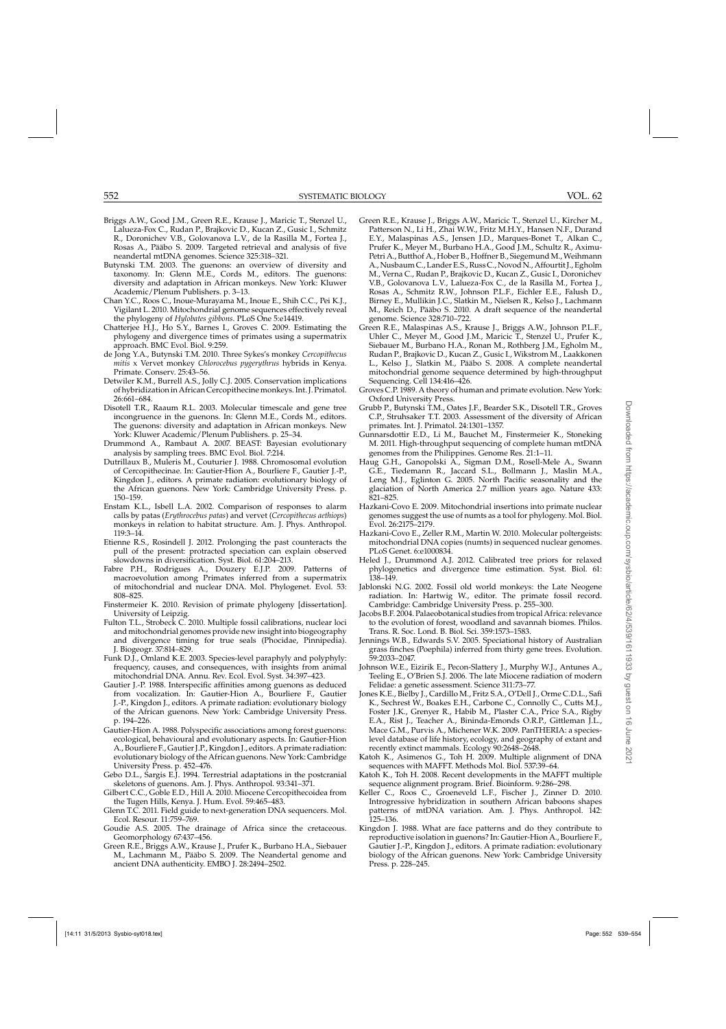- <span id="page-14-0"></span>Briggs A.W., Good J.M., Green R.E., Krause J., Maricic T., Stenzel U., Lalueza-Fox C., Rudan P., Brajkovic D., Kucan Z., Gusic I., Schmitz R., Doronichev V.B., Golovanova L.V., de la Rasilla M., Fortea J., Rosas A., Pääbo S. 2009. Targeted retrieval and analysis of five neandertal mtDNA genomes. Science 325:318–321.
- Butynski T.M. 2003. The guenons: an overview of diversity and taxonomy. In: Glenn M.E., Cords M., editors. The guenons: diversity and adaptation in African monkeys. New York: Kluwer Academic/Plenum Publishers. p. 3–13.
- Chan Y.C., Roos C., Inoue-Murayama M., Inoue E., Shih C.C., Pei K.J., Vigilant L. 2010. Mitochondrial genome sequences effectively reveal the phylogeny of *Hylobates gibbons*. PLoS One 5:e14419.
- Chatterjee H.J., Ho S.Y., Barnes I., Groves C. 2009. Estimating the phylogeny and divergence times of primates using a supermatrix approach. BMC Evol. Biol. 9:259.
- de Jong Y.A., Butynski T.M. 2010. Three Sykes's monkey *Cercopithecus mitis* x Vervet monkey *Chlorocebus pygerythrus* hybrids in Kenya. Primate. Conserv. 25:43–56.
- Detwiler K.M., Burrell A.S., Jolly C.J. 2005. Conservation implications of hybridization in African Cercopithecine monkeys. Int. J. Primatol. 26:661–684.
- Disotell T.R., Raaum R.L. 2003. Molecular timescale and gene tree incongruence in the guenons. In: Glenn M.E., Cords M., editors. The guenons: diversity and adaptation in African monkeys. New York: Kluwer Academic/Plenum Publishers. p. 25–34.
- Drummond A., Rambaut A. 2007. BEAST: Bayesian evolutionary analysis by sampling trees. BMC Evol. Biol. 7:214.
- Dutrillaux B., Muleris M., Couturier J. 1988. Chromosomal evolution of Cercopithecinae. In: Gautier-Hion A., Bourliere F., Gautier J.-P., Kingdon J., editors. A primate radiation: evolutionary biology of the African guenons. New York: Cambridge University Press. p. 150–159.
- Enstam K.L., Isbell L.A. 2002. Comparison of responses to alarm calls by patas (*Erythrocebus patas*) and vervet (*Cercopithecus aethiops*) monkeys in relation to habitat structure. Am. J. Phys. Anthropol. 119:3–14.
- Etienne R.S., Rosindell J. 2012. Prolonging the past counteracts the pull of the present: protracted speciation can explain observed slowdowns in diversification. Syst. Biol. 61:204–213.
- Fabre P.H., Rodrigues A., Douzery E.J.P. 2009. Patterns of macroevolution among Primates inferred from a supermatrix of mitochondrial and nuclear DNA. Mol. Phylogenet. Evol. 53: 808–825.
- Finstermeier K. 2010. Revision of primate phylogeny [dissertation]. University of Leipzig.
- Fulton T.L., Strobeck C. 2010. Multiple fossil calibrations, nuclear loci and mitochondrial genomes provide new insight into biogeography and divergence timing for true seals (Phocidae, Pinnipedia). J. Biogeogr. 37:814–829.
- Funk D.J., Omland K.E. 2003. Species-level paraphyly and polyphyly: frequency, causes, and consequences, with insights from animal mitochondrial DNA. Annu. Rev. Ecol. Evol. Syst. 34:397–423.
- Gautier J.-P. 1988. Interspecific affinities among guenons as deduced from vocalization. In: Gautier-Hion A., Bourliere F., Gautier J.-P., Kingdon J., editors. A primate radiation: evolutionary biology of the African guenons. New York: Cambridge University Press. p. 194–226.
- Gautier-Hion A. 1988. Polyspecific associations among forest guenons: ecological, behavioural and evolutionary aspects. In: Gautier-Hion A., Bourliere F., Gautier J.P., Kingdon J., editors. A primate radiation: evolutionary biology of the African guenons. New York: Cambridge University Press. p. 452–476.
- Gebo D.L., Sargis E.J. 1994. Terrestrial adaptations in the postcranial skeletons of guenons. Am. J. Phys. Anthropol. 93:341–371.
- Gilbert C.C., Goble E.D., Hill A. 2010. Miocene Cercopithecoidea from the Tugen Hills, Kenya. J. Hum. Evol. 59:465–483.
- Glenn T.C. 2011. Field guide to next-generation DNA sequencers. Mol. Ecol. Resour. 11:759–769.
- Goudie A.S. 2005. The drainage of Africa since the cretaceous. Geomorphology 67:437–456.
- Green R.E., Briggs A.W., Krause J., Prufer K., Burbano H.A., Siebauer M., Lachmann M., Pääbo S. 2009. The Neandertal genome and ancient DNA authenticity. EMBO J. 28:2494–2502.
- Green R.E., Krause J., Briggs A.W., Maricic T., Stenzel U., Kircher M., Patterson N., Li H., Zhai W.W., Fritz M.H.Y., Hansen N.F., Durand E.Y., Malaspinas A.S., Jensen J.D., Marques-Bonet T., Alkan C., Prufer K., Meyer M., Burbano H.A., Good J.M., Schultz R., Aximu-Petri A., Butthof A., Hober B., Hoffner B., Siegemund M.,Weihmann A., Nusbaum C., Lander E.S., Russ C., Novod N., Affourtit J., Egholm M., Verna C., Rudan P., Brajkovic D., Kucan Z., Gusic I., Doronichev V.B., Golovanova L.V., Lalueza-Fox C., de la Rasilla M., Fortea J., Rosas A., Schmitz R.W., Johnson P.L.F., Eichler E.E., Falush D., Birney E., Mullikin J.C., Slatkin M., Nielsen R., Kelso J., Lachmann M., Reich D., Pääbo S. 2010. A draft sequence of the neandertal genome. Science 328:710–722.
- Green R.E., Malaspinas A.S., Krause J., Briggs A.W., Johnson P.L.F., Uhler C., Meyer M., Good J.M., Maricic T., Stenzel U., Prufer K., Siebauer M., Burbano H.A., Ronan M., Rothberg J.M., Egholm M., Rudan P., Brajkovic D., Kucan Z., Gusic I., Wikstrom M., Laakkonen L., Kelso J., Slatkin M., Pääbo S. 2008. A complete neandertal mitochondrial genome sequence determined by high-throughput Sequencing. Cell 134:416–426.
- Groves C.P. 1989. A theory of human and primate evolution. New York: Oxford University Press.
- Grubb P., Butynski T.M., Oates J.F., Bearder S.K., Disotell T.R., Groves C.P., Struhsaker T.T. 2003. Assessment of the diversity of African primates. Int. J. Primatol. 24:1301–1357.
- Gunnarsdottir E.D., Li M., Bauchet M., Finstermeier K., Stoneking M. 2011. High-throughput sequencing of complete human mtDNA genomes from the Philippines. Genome Res. 21:1–11.
- Haug G.H., Ganopolski A., Sigman D.M., Rosell-Mele A., Swann G.E., Tiedemann R., Jaccard S.L., Bollmann J., Maslin M.A., Leng M.J., Eglinton G. 2005. North Pacific seasonality and the glaciation of North America 2.7 million years ago. Nature 433: 821–825.
- Hazkani-Covo E. 2009. Mitochondrial insertions into primate nuclear genomes suggest the use of numts as a tool for phylogeny. Mol. Biol. Evol. 26:2175–2179.
- Hazkani-Covo E., Zeller R.M., Martin W. 2010. Molecular poltergeists: mitochondrial DNA copies (numts) in sequenced nuclear genomes. PLoS Genet. 6:e1000834.
- Heled J., Drummond A.J. 2012. Calibrated tree priors for relaxed phylogenetics and divergence time estimation. Syst. Biol. 61: 138–149.
- Jablonski N.G. 2002. Fossil old world monkeys: the Late Neogene radiation. In: Hartwig W., editor. The primate fossil record. Cambridge: Cambridge University Press. p. 255–300.
- Jacobs B.F. 2004. Palaeobotanical studies from tropical Africa: relevance to the evolution of forest, woodland and savannah biomes. Philos. Trans. R. Soc. Lond. B. Biol. Sci. 359:1573–1583.
- Jennings W.B., Edwards S.V. 2005. Speciational history of Australian grass finches (Poephila) inferred from thirty gene trees. Evolution. 59:2033–2047.
- Johnson W.E., Eizirik E., Pecon-Slattery J., Murphy W.J., Antunes A., Teeling E., O'Brien S.J. 2006. The late Miocene radiation of modern Felidae: a genetic assessment. Science 311:73–77.
- Jones K.E., Bielby J., Cardillo M., Fritz S.A., O'Dell J., Orme C.D.L., Safi K., Sechrest W., Boakes E.H., Carbone C., Connolly C., Cutts M.J., Foster J.K., Grenyer R., Habib M., Plaster C.A., Price S.A., Rigby E.A., Rist J., Teacher A., Bininda-Emonds O.R.P., Gittleman J.L., Mace G.M., Purvis A., Michener W.K. 2009. PanTHERIA: a specieslevel database of life history, ecology, and geography of extant and recently extinct mammals. Ecology 90:2648–2648.
- Katoh K., Asimenos G., Toh H. 2009. Multiple alignment of DNA sequences with MAFFT. Methods Mol. Biol. 537:39–64.
- Katoh K., Toh H. 2008. Recent developments in the MAFFT multiple sequence alignment program. Brief. Bioinform. 9:286–298.
- Keller C., Roos C., Groeneveld L.F., Fischer J., Zinner D. 2010. Introgressive hybridization in southern African baboons shapes patterns of mtDNA variation. Am. J. Phys. Anthropol. 142: 125–136.
- Kingdon J. 1988. What are face patterns and do they contribute to reproductive isolation in guenons? In: Gautier-Hion A., Bourliere F., Gautier J.-P., Kingdon J., editors. A primate radiation: evolutionary biology of the African guenons. New York: Cambridge University Press. p. 228–245.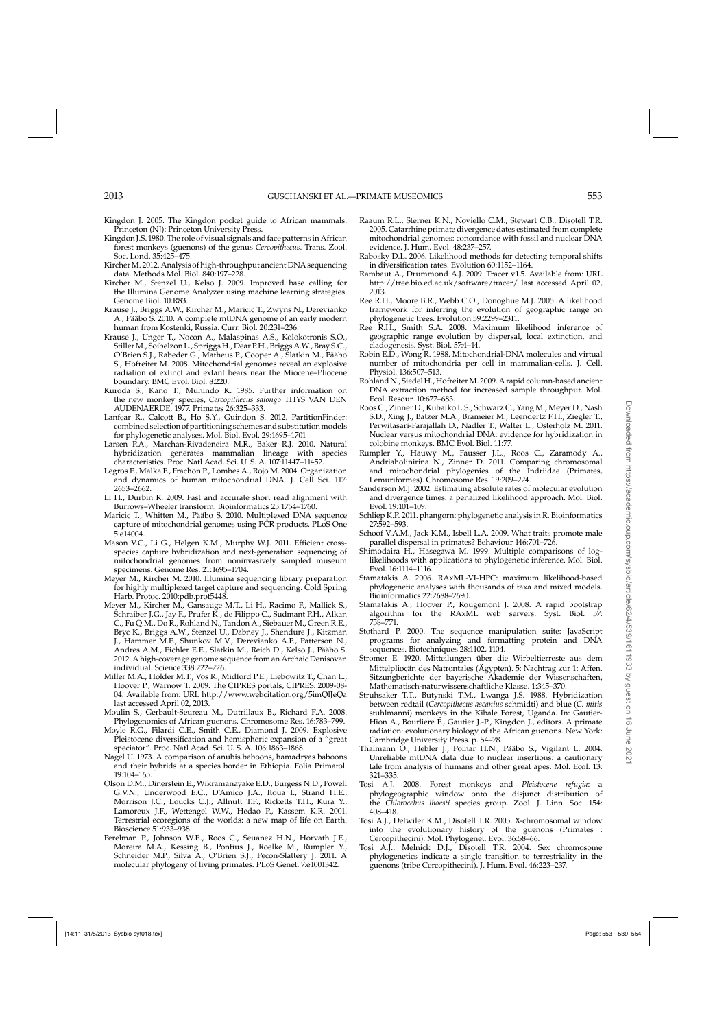- <span id="page-15-0"></span>Kingdon J. 2005. The Kingdon pocket guide to African mammals. Princeton (NJ): Princeton University Press.
- Kingdon J.S. 1980. The role of visual signals and face patterns in African forest monkeys (guenons) of the genus *Cercopithecus*. Trans. Zool. Soc. Lond. 35:425–475.
- Kircher M. 2012. Analysis of high-throughput ancient DNA sequencing data. Methods Mol. Biol. 840:197–228.
- Kircher M., Stenzel U., Kelso J. 2009. Improved base calling for the Illumina Genome Analyzer using machine learning strategies. Genome Biol. 10:R83.
- Krause J., Briggs A.W., Kircher M., Maricic T., Zwyns N., Derevianko A., Pääbo S. 2010. A complete mtDNA genome of an early modern human from Kostenki, Russia. Curr. Biol. 20:231–236.
- Krause J., Unger T., Nocon A., Malaspinas A.S., Kolokotronis S.O., Stiller M., Soibelzon L., Spriggs H., Dear P.H., Briggs A.W., Bray S.C., O'Brien S.J., Rabeder G., Matheus P., Cooper A., Slatkin M., Pääbo S., Hofreiter M. 2008. Mitochondrial genomes reveal an explosive radiation of extinct and extant bears near the Miocene–Pliocene boundary. BMC Evol. Biol. 8:220.
- Kuroda S., Kano T., Muhindo K. 1985. Further information on the new monkey species, *Cercopithecus salongo* THYS VAN DEN AUDENAERDE, 1977. Primates 26:325–333.
- Lanfear R., Calcott B., Ho S.Y., Guindon S. 2012. PartitionFinder: combined selection of partitioning schemes and substitution models for phylogenetic analyses. Mol. Biol. Evol. 29:1695–1701
- Larsen P.A., Marchan-Rivadeneira M.R., Baker R.J. 2010. Natural hybridization generates mammalian lineage with species characteristics. Proc. Natl Acad. Sci. U. S. A. 107:11447–11452.
- Legros F., Malka F., Frachon P., Lombes A., Rojo M. 2004. Organization and dynamics of human mitochondrial DNA. J. Cell Sci. 117: 2653–2662.
- Li H., Durbin R. 2009. Fast and accurate short read alignment with Burrows–Wheeler transform. Bioinformatics 25:1754–1760.
- Maricic T., Whitten M., Pääbo S. 2010. Multiplexed DNA sequence capture of mitochondrial genomes using PCR products. PLoS One 5:e14004.
- Mason V.C., Li G., Helgen K.M., Murphy W.J. 2011. Efficient crossspecies capture hybridization and next-generation sequencing of mitochondrial genomes from noninvasively sampled museum specimens. Genome Res. 21:1695–1704.
- Meyer M., Kircher M. 2010. Illumina sequencing library preparation for highly multiplexed target capture and sequencing. Cold Spring Harb. Protoc. 2010:pdb.prot5448.
- Meyer M., Kircher M., Gansauge M.T., Li H., Racimo F., Mallick S., Schraiber J.G., Jay F., Prufer K., de Filippo C., Sudmant P.H., Alkan C., Fu Q.M., Do R., Rohland N., Tandon A., Siebauer M., Green R.E., Bryc K., Briggs A.W., Stenzel U., Dabney J., Shendure J., Kitzman J., Hammer M.F., Shunkov M.V., Derevianko A.P., Patterson N., Andres A.M., Eichler E.E., Slatkin M., Reich D., Kelso J., Pääbo S. 2012. A high-coverage genome sequence from an Archaic Denisovan individual. Science 338:222–226.
- Miller M.A., Holder M.T., Vos R., Midford P.E., Liebowitz T., Chan L., Hoover P., Warnow T. 2009. The CIPRES portals, CIPRES. 2009-08- 04. Available from: URL http://www.webcitation.org/5imQlJeQa last accessed April 02, 2013.
- Moulin S., Gerbault-Seureau M., Dutrillaux B., Richard F.A. 2008. Phylogenomics of African guenons. Chromosome Res. 16:783–799.
- Moyle R.G., Filardi C.E., Smith C.E., Diamond J. 2009. Explosive Pleistocene diversification and hemispheric expansion of a "great speciator". Proc. Natl Acad. Sci. U. S. A. 106:1863–1868.
- Nagel U. 1973. A comparison of anubis baboons, hamadryas baboons and their hybrids at a species border in Ethiopia. Folia Primatol. 19:104–165.
- Olson D.M., Dinerstein E., Wikramanayake E.D., Burgess N.D., Powell G.V.N., Underwood E.C., D'Amico J.A., Itoua I., Strand H.E., Morrison J.C., Loucks C.J., Allnutt T.F., Ricketts T.H., Kura Y., Lamoreux J.F., Wettengel W.W., Hedao P., Kassem K.R. 2001. Terrestrial ecoregions of the worlds: a new map of life on Earth. Bioscience 51:933–938.
- Perelman P., Johnson W.E., Roos C., Seuanez H.N., Horvath J.E., Moreira M.A., Kessing B., Pontius J., Roelke M., Rumpler Y., Schneider M.P., Silva A., O'Brien S.J., Pecon-Slattery J. 2011. A molecular phylogeny of living primates. PLoS Genet. 7:e1001342.
- Raaum R.L., Sterner K.N., Noviello C.M., Stewart C.B., Disotell T.R. 2005. Catarrhine primate divergence dates estimated from complete mitochondrial genomes: concordance with fossil and nuclear DNA evidence. J. Hum. Evol. 48:237–257.
- Rabosky D.L. 2006. Likelihood methods for detecting temporal shifts in diversification rates. Evolution 60:1152–1164.
- Rambaut A., Drummond A.J. 2009. Tracer v1.5. Available from: URL http://tree.bio.ed.ac.uk/software/tracer/ last accessed April 02, 2013.
- Ree R.H., Moore B.R., Webb C.O., Donoghue M.J. 2005. A likelihood framework for inferring the evolution of geographic range on phylogenetic trees. Evolution 59:2299–2311.
- Ree R.H., Smith S.A. 2008. Maximum likelihood inference of geographic range evolution by dispersal, local extinction, and cladogenesis. Syst. Biol. 57:4–14.
- Robin E.D., Wong R. 1988. Mitochondrial-DNA molecules and virtual number of mitochondria per cell in mammalian-cells. J. Cell. Physiol. 136:507–513.
- Rohland N., Siedel H., HofreiterM. 2009. A rapid column-based ancient DNA extraction method for increased sample throughput. Mol. Ecol. Resour. 10:677–683.
- Roos C., Zinner D., Kubatko L.S., Schwarz C., Yang M., Meyer D., Nash S.D., Xing J., Batzer M.A., Brameier M., Leendertz F.H., Ziegler T., Perwitasari-Farajallah D., Nadler T., Walter L., Osterholz M. 2011. Nuclear versus mitochondrial DNA: evidence for hybridization in colobine monkeys. BMC Evol. Biol. 11:77.
- Rumpler Y., Hauwy M., Fausser J.L., Roos C., Zaramody A., Andriaholinirina N., Zinner D. 2011. Comparing chromosomal and mitochondrial phylogenies of the Indriidae (Primates, Lemuriformes). Chromosome Res. 19:209–224.
- Sanderson M.J. 2002. Estimating absolute rates of molecular evolution and divergence times: a penalized likelihood approach. Mol. Biol. Evol. 19:101–109.
- Schliep K.P. 2011. phangorn: phylogenetic analysis in R. Bioinformatics 27:592–593.
- Schoof V.A.M., Jack K.M., Isbell L.A. 2009. What traits promote male parallel dispersal in primates? Behaviour 146:701–726.
- Shimodaira H., Hasegawa M. 1999. Multiple comparisons of loglikelihoods with applications to phylogenetic inference. Mol. Biol. Evol. 16:1114–1116.
- Stamatakis A. 2006. RAxML-VI-HPC: maximum likelihood-based phylogenetic analyses with thousands of taxa and mixed models. Bioinformatics 22:2688–2690.
- Stamatakis A., Hoover P., Rougemont J. 2008. A rapid bootstrap algorithm for the RAxML web servers. Syst. Biol. 57: 758–771.
- Stothard P. 2000. The sequence manipulation suite: JavaScript programs for analyzing and formatting protein and DNA sequences. Biotechniques 28:1102, 1104.
- Stromer E. 1920. Mitteilungen über die Wirbeltierreste aus dem Mittelpliocän des Natrontales (Ägypten). 5: Nachtrag zur 1: Affen. Sitzungberichte der bayerische Akademie der Wissenschaften, Mathematisch-naturwissenschaftliche Klasse. 1:345–370.
- Struhsaker T.T., Butynski T.M., Lwanga J.S. 1988. Hybridization between redtail (*Cercopithecus ascanius* schmidti) and blue (*C. mitis* stuhlmanni) monkeys in the Kibale Forest, Uganda. In: Gautier-Hion A., Bourliere F., Gautier J.-P., Kingdon J., editors. A primate radiation: evolutionary biology of the African guenons. New York: Cambridge University Press. p. 54–78.
- Thalmann O., Hebler J., Poinar H.N., Pääbo S., Vigilant L. 2004. Unreliable mtDNA data due to nuclear insertions: a cautionary tale from analysis of humans and other great apes. Mol. Ecol. 13: 321–335.
- Tosi A.J. 2008. Forest monkeys and *Pleistocene refugia*: a phylogeographic window onto the disjunct distribution of the *Chlorocebus lhoesti* species group. Zool. J. Linn. Soc. 154: 408–418.
- Tosi A.J., Detwiler K.M., Disotell T.R. 2005. X-chromosomal window into the evolutionary history of the guenons (Primates : Cercopithecini). Mol. Phylogenet. Evol. 36:58–66.
- Tosi A.J., Melnick D.J., Disotell T.R. 2004. Sex chromosome phylogenetics indicate a single transition to terrestriality in the guenons (tribe Cercopithecini). J. Hum. Evol. 46:223–237.